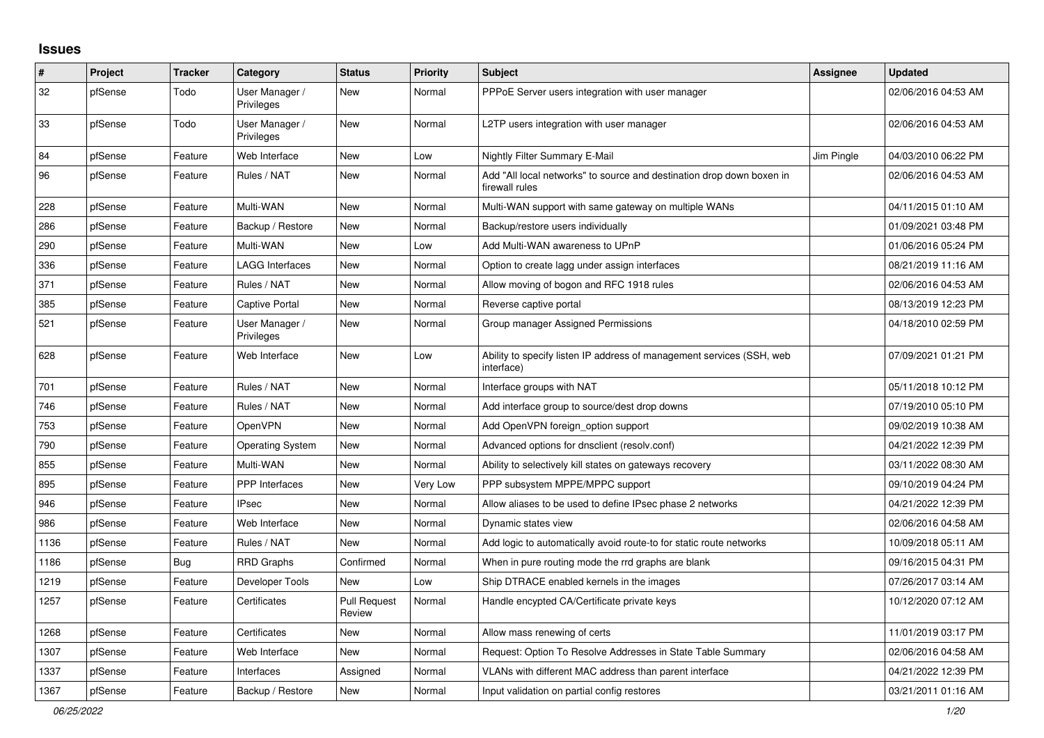## **Issues**

| #    | Project | <b>Tracker</b> | Category                     | <b>Status</b>                 | <b>Priority</b> | <b>Subject</b>                                                                          | <b>Assignee</b> | <b>Updated</b>      |
|------|---------|----------------|------------------------------|-------------------------------|-----------------|-----------------------------------------------------------------------------------------|-----------------|---------------------|
| 32   | pfSense | Todo           | User Manager /<br>Privileges | New                           | Normal          | PPPoE Server users integration with user manager                                        |                 | 02/06/2016 04:53 AM |
| 33   | pfSense | Todo           | User Manager /<br>Privileges | New                           | Normal          | L2TP users integration with user manager                                                |                 | 02/06/2016 04:53 AM |
| 84   | pfSense | Feature        | Web Interface                | <b>New</b>                    | Low             | Nightly Filter Summary E-Mail                                                           | Jim Pingle      | 04/03/2010 06:22 PM |
| 96   | pfSense | Feature        | Rules / NAT                  | New                           | Normal          | Add "All local networks" to source and destination drop down boxen in<br>firewall rules |                 | 02/06/2016 04:53 AM |
| 228  | pfSense | Feature        | Multi-WAN                    | New                           | Normal          | Multi-WAN support with same gateway on multiple WANs                                    |                 | 04/11/2015 01:10 AM |
| 286  | pfSense | Feature        | Backup / Restore             | New                           | Normal          | Backup/restore users individually                                                       |                 | 01/09/2021 03:48 PM |
| 290  | pfSense | Feature        | Multi-WAN                    | New                           | Low             | Add Multi-WAN awareness to UPnP                                                         |                 | 01/06/2016 05:24 PM |
| 336  | pfSense | Feature        | <b>LAGG Interfaces</b>       | New                           | Normal          | Option to create lagg under assign interfaces                                           |                 | 08/21/2019 11:16 AM |
| 371  | pfSense | Feature        | Rules / NAT                  | New                           | Normal          | Allow moving of bogon and RFC 1918 rules                                                |                 | 02/06/2016 04:53 AM |
| 385  | pfSense | Feature        | Captive Portal               | New                           | Normal          | Reverse captive portal                                                                  |                 | 08/13/2019 12:23 PM |
| 521  | pfSense | Feature        | User Manager /<br>Privileges | New                           | Normal          | Group manager Assigned Permissions                                                      |                 | 04/18/2010 02:59 PM |
| 628  | pfSense | Feature        | Web Interface                | New                           | Low             | Ability to specify listen IP address of management services (SSH, web<br>interface)     |                 | 07/09/2021 01:21 PM |
| 701  | pfSense | Feature        | Rules / NAT                  | <b>New</b>                    | Normal          | Interface groups with NAT                                                               |                 | 05/11/2018 10:12 PM |
| 746  | pfSense | Feature        | Rules / NAT                  | <b>New</b>                    | Normal          | Add interface group to source/dest drop downs                                           |                 | 07/19/2010 05:10 PM |
| 753  | pfSense | Feature        | <b>OpenVPN</b>               | <b>New</b>                    | Normal          | Add OpenVPN foreign_option support                                                      |                 | 09/02/2019 10:38 AM |
| 790  | pfSense | Feature        | <b>Operating System</b>      | New                           | Normal          | Advanced options for dnsclient (resolv.conf)                                            |                 | 04/21/2022 12:39 PM |
| 855  | pfSense | Feature        | Multi-WAN                    | New                           | Normal          | Ability to selectively kill states on gateways recovery                                 |                 | 03/11/2022 08:30 AM |
| 895  | pfSense | Feature        | <b>PPP</b> Interfaces        | New                           | Very Low        | PPP subsystem MPPE/MPPC support                                                         |                 | 09/10/2019 04:24 PM |
| 946  | pfSense | Feature        | <b>IPsec</b>                 | New                           | Normal          | Allow aliases to be used to define IPsec phase 2 networks                               |                 | 04/21/2022 12:39 PM |
| 986  | pfSense | Feature        | Web Interface                | New                           | Normal          | Dynamic states view                                                                     |                 | 02/06/2016 04:58 AM |
| 1136 | pfSense | Feature        | Rules / NAT                  | <b>New</b>                    | Normal          | Add logic to automatically avoid route-to for static route networks                     |                 | 10/09/2018 05:11 AM |
| 1186 | pfSense | <b>Bug</b>     | <b>RRD Graphs</b>            | Confirmed                     | Normal          | When in pure routing mode the rrd graphs are blank                                      |                 | 09/16/2015 04:31 PM |
| 1219 | pfSense | Feature        | Developer Tools              | New                           | Low             | Ship DTRACE enabled kernels in the images                                               |                 | 07/26/2017 03:14 AM |
| 1257 | pfSense | Feature        | Certificates                 | <b>Pull Request</b><br>Review | Normal          | Handle encypted CA/Certificate private keys                                             |                 | 10/12/2020 07:12 AM |
| 1268 | pfSense | Feature        | Certificates                 | <b>New</b>                    | Normal          | Allow mass renewing of certs                                                            |                 | 11/01/2019 03:17 PM |
| 1307 | pfSense | Feature        | Web Interface                | New                           | Normal          | Request: Option To Resolve Addresses in State Table Summary                             |                 | 02/06/2016 04:58 AM |
| 1337 | pfSense | Feature        | Interfaces                   | Assigned                      | Normal          | VLANs with different MAC address than parent interface                                  |                 | 04/21/2022 12:39 PM |
| 1367 | pfSense | Feature        | Backup / Restore             | <b>New</b>                    | Normal          | Input validation on partial config restores                                             |                 | 03/21/2011 01:16 AM |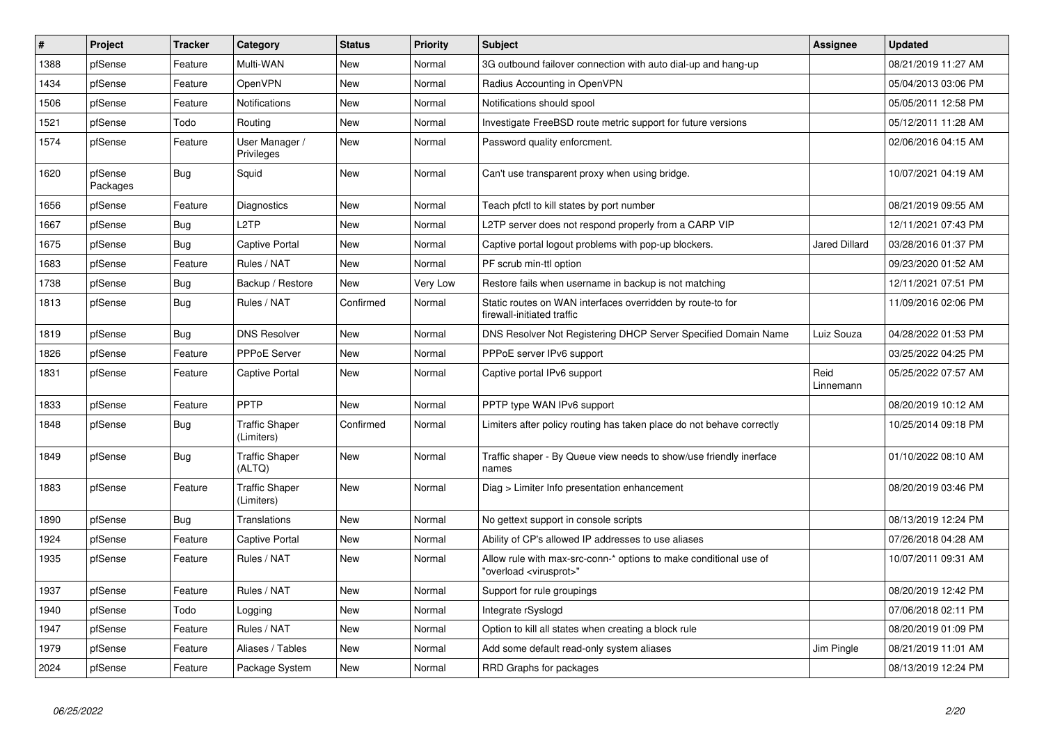| #    | Project             | <b>Tracker</b> | Category                            | <b>Status</b> | <b>Priority</b> | <b>Subject</b>                                                                                          | <b>Assignee</b>      | <b>Updated</b>      |
|------|---------------------|----------------|-------------------------------------|---------------|-----------------|---------------------------------------------------------------------------------------------------------|----------------------|---------------------|
| 1388 | pfSense             | Feature        | Multi-WAN                           | New           | Normal          | 3G outbound failover connection with auto dial-up and hang-up                                           |                      | 08/21/2019 11:27 AM |
| 1434 | pfSense             | Feature        | OpenVPN                             | New           | Normal          | Radius Accounting in OpenVPN                                                                            |                      | 05/04/2013 03:06 PM |
| 1506 | pfSense             | Feature        | <b>Notifications</b>                | New           | Normal          | Notifications should spool                                                                              |                      | 05/05/2011 12:58 PM |
| 1521 | pfSense             | Todo           | Routing                             | <b>New</b>    | Normal          | Investigate FreeBSD route metric support for future versions                                            |                      | 05/12/2011 11:28 AM |
| 1574 | pfSense             | Feature        | User Manager /<br>Privileges        | New           | Normal          | Password quality enforcment.                                                                            |                      | 02/06/2016 04:15 AM |
| 1620 | pfSense<br>Packages | <b>Bug</b>     | Squid                               | <b>New</b>    | Normal          | Can't use transparent proxy when using bridge.                                                          |                      | 10/07/2021 04:19 AM |
| 1656 | pfSense             | Feature        | Diagnostics                         | New           | Normal          | Teach pfctl to kill states by port number                                                               |                      | 08/21/2019 09:55 AM |
| 1667 | pfSense             | <b>Bug</b>     | L <sub>2</sub> TP                   | <b>New</b>    | Normal          | L2TP server does not respond properly from a CARP VIP                                                   |                      | 12/11/2021 07:43 PM |
| 1675 | pfSense             | Bug            | <b>Captive Portal</b>               | <b>New</b>    | Normal          | Captive portal logout problems with pop-up blockers.                                                    | <b>Jared Dillard</b> | 03/28/2016 01:37 PM |
| 1683 | pfSense             | Feature        | Rules / NAT                         | New           | Normal          | PF scrub min-ttl option                                                                                 |                      | 09/23/2020 01:52 AM |
| 1738 | pfSense             | <b>Bug</b>     | Backup / Restore                    | New           | Very Low        | Restore fails when username in backup is not matching                                                   |                      | 12/11/2021 07:51 PM |
| 1813 | pfSense             | <b>Bug</b>     | Rules / NAT                         | Confirmed     | Normal          | Static routes on WAN interfaces overridden by route-to for<br>firewall-initiated traffic                |                      | 11/09/2016 02:06 PM |
| 1819 | pfSense             | Bug            | <b>DNS Resolver</b>                 | New           | Normal          | DNS Resolver Not Registering DHCP Server Specified Domain Name                                          | Luiz Souza           | 04/28/2022 01:53 PM |
| 1826 | pfSense             | Feature        | <b>PPPoE Server</b>                 | New           | Normal          | PPPoE server IPv6 support                                                                               |                      | 03/25/2022 04:25 PM |
| 1831 | pfSense             | Feature        | Captive Portal                      | New           | Normal          | Captive portal IPv6 support                                                                             | Reid<br>Linnemann    | 05/25/2022 07:57 AM |
| 1833 | pfSense             | Feature        | PPTP                                | <b>New</b>    | Normal          | PPTP type WAN IPv6 support                                                                              |                      | 08/20/2019 10:12 AM |
| 1848 | pfSense             | Bug            | <b>Traffic Shaper</b><br>(Limiters) | Confirmed     | Normal          | Limiters after policy routing has taken place do not behave correctly                                   |                      | 10/25/2014 09:18 PM |
| 1849 | pfSense             | <b>Bug</b>     | <b>Traffic Shaper</b><br>(ALTQ)     | New           | Normal          | Traffic shaper - By Queue view needs to show/use friendly inerface<br>names                             |                      | 01/10/2022 08:10 AM |
| 1883 | pfSense             | Feature        | <b>Traffic Shaper</b><br>(Limiters) | New           | Normal          | Diag > Limiter Info presentation enhancement                                                            |                      | 08/20/2019 03:46 PM |
| 1890 | pfSense             | <b>Bug</b>     | Translations                        | <b>New</b>    | Normal          | No gettext support in console scripts                                                                   |                      | 08/13/2019 12:24 PM |
| 1924 | pfSense             | Feature        | <b>Captive Portal</b>               | New           | Normal          | Ability of CP's allowed IP addresses to use aliases                                                     |                      | 07/26/2018 04:28 AM |
| 1935 | pfSense             | Feature        | Rules / NAT                         | New           | Normal          | Allow rule with max-src-conn-* options to make conditional use of<br>'overload <virusprot>"</virusprot> |                      | 10/07/2011 09:31 AM |
| 1937 | pfSense             | Feature        | Rules / NAT                         | New           | Normal          | Support for rule groupings                                                                              |                      | 08/20/2019 12:42 PM |
| 1940 | pfSense             | Todo           | Logging                             | New           | Normal          | Integrate rSyslogd                                                                                      |                      | 07/06/2018 02:11 PM |
| 1947 | pfSense             | Feature        | Rules / NAT                         | New           | Normal          | Option to kill all states when creating a block rule                                                    |                      | 08/20/2019 01:09 PM |
| 1979 | pfSense             | Feature        | Aliases / Tables                    | New           | Normal          | Add some default read-only system aliases                                                               | Jim Pingle           | 08/21/2019 11:01 AM |
| 2024 | pfSense             | Feature        | Package System                      | New           | Normal          | RRD Graphs for packages                                                                                 |                      | 08/13/2019 12:24 PM |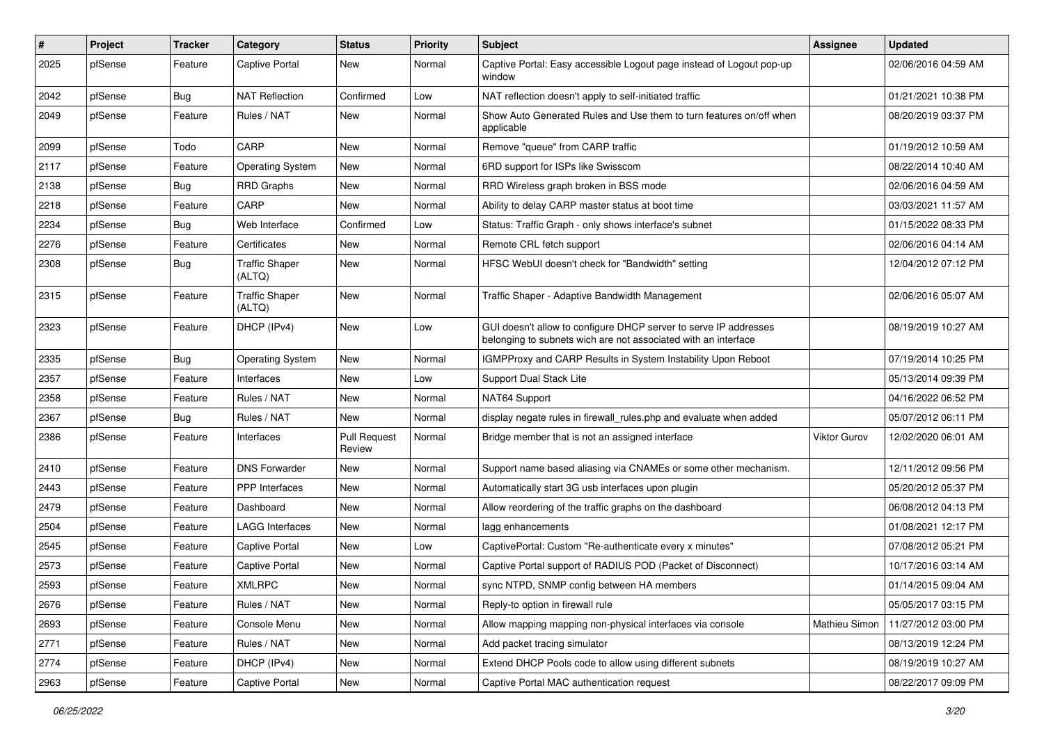| $\sharp$ | Project | <b>Tracker</b> | Category                        | <b>Status</b>                 | <b>Priority</b> | Subject                                                                                                                            | Assignee      | <b>Updated</b>      |
|----------|---------|----------------|---------------------------------|-------------------------------|-----------------|------------------------------------------------------------------------------------------------------------------------------------|---------------|---------------------|
| 2025     | pfSense | Feature        | <b>Captive Portal</b>           | New                           | Normal          | Captive Portal: Easy accessible Logout page instead of Logout pop-up<br>window                                                     |               | 02/06/2016 04:59 AM |
| 2042     | pfSense | <b>Bug</b>     | <b>NAT Reflection</b>           | Confirmed                     | Low             | NAT reflection doesn't apply to self-initiated traffic                                                                             |               | 01/21/2021 10:38 PM |
| 2049     | pfSense | Feature        | Rules / NAT                     | New                           | Normal          | Show Auto Generated Rules and Use them to turn features on/off when<br>applicable                                                  |               | 08/20/2019 03:37 PM |
| 2099     | pfSense | Todo           | CARP                            | New                           | Normal          | Remove "queue" from CARP traffic                                                                                                   |               | 01/19/2012 10:59 AM |
| 2117     | pfSense | Feature        | <b>Operating System</b>         | New                           | Normal          | 6RD support for ISPs like Swisscom                                                                                                 |               | 08/22/2014 10:40 AM |
| 2138     | pfSense | <b>Bug</b>     | <b>RRD Graphs</b>               | New                           | Normal          | RRD Wireless graph broken in BSS mode                                                                                              |               | 02/06/2016 04:59 AM |
| 2218     | pfSense | Feature        | CARP                            | New                           | Normal          | Ability to delay CARP master status at boot time                                                                                   |               | 03/03/2021 11:57 AM |
| 2234     | pfSense | Bug            | Web Interface                   | Confirmed                     | Low             | Status: Traffic Graph - only shows interface's subnet                                                                              |               | 01/15/2022 08:33 PM |
| 2276     | pfSense | Feature        | Certificates                    | New                           | Normal          | Remote CRL fetch support                                                                                                           |               | 02/06/2016 04:14 AM |
| 2308     | pfSense | Bug            | <b>Traffic Shaper</b><br>(ALTQ) | New                           | Normal          | HFSC WebUI doesn't check for "Bandwidth" setting                                                                                   |               | 12/04/2012 07:12 PM |
| 2315     | pfSense | Feature        | <b>Traffic Shaper</b><br>(ALTQ) | New                           | Normal          | Traffic Shaper - Adaptive Bandwidth Management                                                                                     |               | 02/06/2016 05:07 AM |
| 2323     | pfSense | Feature        | DHCP (IPv4)                     | New                           | Low             | GUI doesn't allow to configure DHCP server to serve IP addresses<br>belonging to subnets wich are not associated with an interface |               | 08/19/2019 10:27 AM |
| 2335     | pfSense | <b>Bug</b>     | <b>Operating System</b>         | <b>New</b>                    | Normal          | IGMPProxy and CARP Results in System Instability Upon Reboot                                                                       |               | 07/19/2014 10:25 PM |
| 2357     | pfSense | Feature        | Interfaces                      | New                           | Low             | <b>Support Dual Stack Lite</b>                                                                                                     |               | 05/13/2014 09:39 PM |
| 2358     | pfSense | Feature        | Rules / NAT                     | New                           | Normal          | NAT64 Support                                                                                                                      |               | 04/16/2022 06:52 PM |
| 2367     | pfSense | <b>Bug</b>     | Rules / NAT                     | <b>New</b>                    | Normal          | display negate rules in firewall_rules.php and evaluate when added                                                                 |               | 05/07/2012 06:11 PM |
| 2386     | pfSense | Feature        | Interfaces                      | <b>Pull Request</b><br>Review | Normal          | Bridge member that is not an assigned interface                                                                                    | Viktor Gurov  | 12/02/2020 06:01 AM |
| 2410     | pfSense | Feature        | <b>DNS Forwarder</b>            | New                           | Normal          | Support name based aliasing via CNAMEs or some other mechanism.                                                                    |               | 12/11/2012 09:56 PM |
| 2443     | pfSense | Feature        | PPP Interfaces                  | New                           | Normal          | Automatically start 3G usb interfaces upon plugin                                                                                  |               | 05/20/2012 05:37 PM |
| 2479     | pfSense | Feature        | Dashboard                       | New                           | Normal          | Allow reordering of the traffic graphs on the dashboard                                                                            |               | 06/08/2012 04:13 PM |
| 2504     | pfSense | Feature        | <b>LAGG Interfaces</b>          | New                           | Normal          | lagg enhancements                                                                                                                  |               | 01/08/2021 12:17 PM |
| 2545     | pfSense | Feature        | <b>Captive Portal</b>           | New                           | Low             | CaptivePortal: Custom "Re-authenticate every x minutes"                                                                            |               | 07/08/2012 05:21 PM |
| 2573     | pfSense | Feature        | <b>Captive Portal</b>           | New                           | Normal          | Captive Portal support of RADIUS POD (Packet of Disconnect)                                                                        |               | 10/17/2016 03:14 AM |
| 2593     | pfSense | Feature        | <b>XMLRPC</b>                   | New                           | Normal          | sync NTPD, SNMP config between HA members                                                                                          |               | 01/14/2015 09:04 AM |
| 2676     | pfSense | Feature        | Rules / NAT                     | New                           | Normal          | Reply-to option in firewall rule                                                                                                   |               | 05/05/2017 03:15 PM |
| 2693     | pfSense | Feature        | Console Menu                    | New                           | Normal          | Allow mapping mapping non-physical interfaces via console                                                                          | Mathieu Simon | 11/27/2012 03:00 PM |
| 2771     | pfSense | Feature        | Rules / NAT                     | New                           | Normal          | Add packet tracing simulator                                                                                                       |               | 08/13/2019 12:24 PM |
| 2774     | pfSense | Feature        | DHCP (IPv4)                     | New                           | Normal          | Extend DHCP Pools code to allow using different subnets                                                                            |               | 08/19/2019 10:27 AM |
| 2963     | pfSense | Feature        | <b>Captive Portal</b>           | New                           | Normal          | Captive Portal MAC authentication request                                                                                          |               | 08/22/2017 09:09 PM |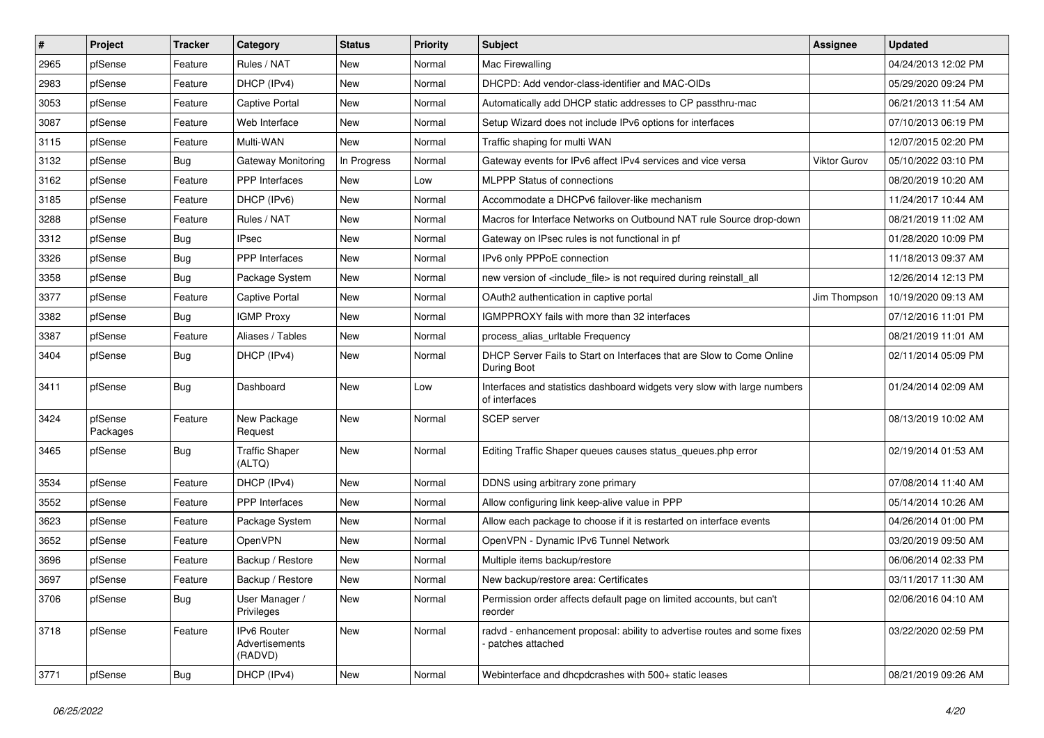| $\pmb{\sharp}$ | Project             | <b>Tracker</b> | Category                                 | <b>Status</b> | <b>Priority</b> | <b>Subject</b>                                                                               | Assignee            | <b>Updated</b>      |
|----------------|---------------------|----------------|------------------------------------------|---------------|-----------------|----------------------------------------------------------------------------------------------|---------------------|---------------------|
| 2965           | pfSense             | Feature        | Rules / NAT                              | New           | Normal          | Mac Firewalling                                                                              |                     | 04/24/2013 12:02 PM |
| 2983           | pfSense             | Feature        | DHCP (IPv4)                              | <b>New</b>    | Normal          | DHCPD: Add vendor-class-identifier and MAC-OIDs                                              |                     | 05/29/2020 09:24 PM |
| 3053           | pfSense             | Feature        | <b>Captive Portal</b>                    | New           | Normal          | Automatically add DHCP static addresses to CP passthru-mac                                   |                     | 06/21/2013 11:54 AM |
| 3087           | pfSense             | Feature        | Web Interface                            | <b>New</b>    | Normal          | Setup Wizard does not include IPv6 options for interfaces                                    |                     | 07/10/2013 06:19 PM |
| 3115           | pfSense             | Feature        | Multi-WAN                                | New           | Normal          | Traffic shaping for multi WAN                                                                |                     | 12/07/2015 02:20 PM |
| 3132           | pfSense             | <b>Bug</b>     | Gateway Monitoring                       | In Progress   | Normal          | Gateway events for IPv6 affect IPv4 services and vice versa                                  | <b>Viktor Gurov</b> | 05/10/2022 03:10 PM |
| 3162           | pfSense             | Feature        | <b>PPP</b> Interfaces                    | New           | Low             | <b>MLPPP Status of connections</b>                                                           |                     | 08/20/2019 10:20 AM |
| 3185           | pfSense             | Feature        | DHCP (IPv6)                              | New           | Normal          | Accommodate a DHCPv6 failover-like mechanism                                                 |                     | 11/24/2017 10:44 AM |
| 3288           | pfSense             | Feature        | Rules / NAT                              | New           | Normal          | Macros for Interface Networks on Outbound NAT rule Source drop-down                          |                     | 08/21/2019 11:02 AM |
| 3312           | pfSense             | Bug            | <b>IPsec</b>                             | <b>New</b>    | Normal          | Gateway on IPsec rules is not functional in pf                                               |                     | 01/28/2020 10:09 PM |
| 3326           | pfSense             | Bug            | <b>PPP</b> Interfaces                    | New           | Normal          | IPv6 only PPPoE connection                                                                   |                     | 11/18/2013 09:37 AM |
| 3358           | pfSense             | <b>Bug</b>     | Package System                           | New           | Normal          | new version of <include_file> is not required during reinstall_all</include_file>            |                     | 12/26/2014 12:13 PM |
| 3377           | pfSense             | Feature        | Captive Portal                           | New           | Normal          | OAuth2 authentication in captive portal                                                      | Jim Thompson        | 10/19/2020 09:13 AM |
| 3382           | pfSense             | <b>Bug</b>     | <b>IGMP Proxy</b>                        | New           | Normal          | IGMPPROXY fails with more than 32 interfaces                                                 |                     | 07/12/2016 11:01 PM |
| 3387           | pfSense             | Feature        | Aliases / Tables                         | New           | Normal          | process_alias_urltable Frequency                                                             |                     | 08/21/2019 11:01 AM |
| 3404           | pfSense             | <b>Bug</b>     | DHCP (IPv4)                              | New           | Normal          | DHCP Server Fails to Start on Interfaces that are Slow to Come Online<br>During Boot         |                     | 02/11/2014 05:09 PM |
| 3411           | pfSense             | <b>Bug</b>     | Dashboard                                | New           | Low             | Interfaces and statistics dashboard widgets very slow with large numbers<br>of interfaces    |                     | 01/24/2014 02:09 AM |
| 3424           | pfSense<br>Packages | Feature        | New Package<br>Request                   | <b>New</b>    | Normal          | <b>SCEP</b> server                                                                           |                     | 08/13/2019 10:02 AM |
| 3465           | pfSense             | <b>Bug</b>     | <b>Traffic Shaper</b><br>(ALTQ)          | New           | Normal          | Editing Traffic Shaper queues causes status_queues.php error                                 |                     | 02/19/2014 01:53 AM |
| 3534           | pfSense             | Feature        | DHCP (IPv4)                              | New           | Normal          | DDNS using arbitrary zone primary                                                            |                     | 07/08/2014 11:40 AM |
| 3552           | pfSense             | Feature        | <b>PPP</b> Interfaces                    | New           | Normal          | Allow configuring link keep-alive value in PPP                                               |                     | 05/14/2014 10:26 AM |
| 3623           | pfSense             | Feature        | Package System                           | <b>New</b>    | Normal          | Allow each package to choose if it is restarted on interface events                          |                     | 04/26/2014 01:00 PM |
| 3652           | pfSense             | Feature        | OpenVPN                                  | New           | Normal          | OpenVPN - Dynamic IPv6 Tunnel Network                                                        |                     | 03/20/2019 09:50 AM |
| 3696           | pfSense             | Feature        | Backup / Restore                         | <b>New</b>    | Normal          | Multiple items backup/restore                                                                |                     | 06/06/2014 02:33 PM |
| 3697           | pfSense             | Feature        | Backup / Restore                         | New           | Normal          | New backup/restore area: Certificates                                                        |                     | 03/11/2017 11:30 AM |
| 3706           | pfSense             | <b>Bug</b>     | User Manager /<br>Privileges             | New           | Normal          | Permission order affects default page on limited accounts, but can't<br>reorder              |                     | 02/06/2016 04:10 AM |
| 3718           | pfSense             | Feature        | IPv6 Router<br>Advertisements<br>(RADVD) | New           | Normal          | radvd - enhancement proposal: ability to advertise routes and some fixes<br>patches attached |                     | 03/22/2020 02:59 PM |
| 3771           | pfSense             | <b>Bug</b>     | DHCP (IPv4)                              | New           | Normal          | Webinterface and dhcpdcrashes with 500+ static leases                                        |                     | 08/21/2019 09:26 AM |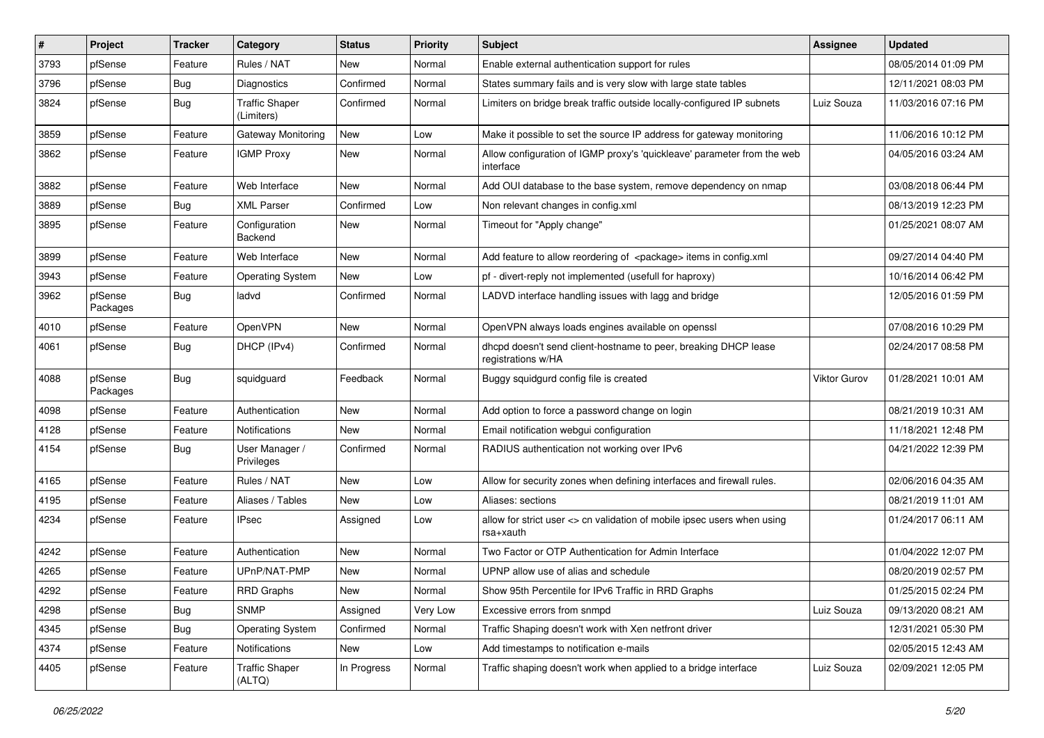| #    | Project             | <b>Tracker</b> | Category                            | <b>Status</b> | Priority | <b>Subject</b>                                                                        | <b>Assignee</b> | <b>Updated</b>      |
|------|---------------------|----------------|-------------------------------------|---------------|----------|---------------------------------------------------------------------------------------|-----------------|---------------------|
| 3793 | pfSense             | Feature        | Rules / NAT                         | New           | Normal   | Enable external authentication support for rules                                      |                 | 08/05/2014 01:09 PM |
| 3796 | pfSense             | <b>Bug</b>     | Diagnostics                         | Confirmed     | Normal   | States summary fails and is very slow with large state tables                         |                 | 12/11/2021 08:03 PM |
| 3824 | pfSense             | <b>Bug</b>     | <b>Traffic Shaper</b><br>(Limiters) | Confirmed     | Normal   | Limiters on bridge break traffic outside locally-configured IP subnets                | Luiz Souza      | 11/03/2016 07:16 PM |
| 3859 | pfSense             | Feature        | Gateway Monitoring                  | New           | Low      | Make it possible to set the source IP address for gateway monitoring                  |                 | 11/06/2016 10:12 PM |
| 3862 | pfSense             | Feature        | <b>IGMP Proxy</b>                   | New           | Normal   | Allow configuration of IGMP proxy's 'quickleave' parameter from the web<br>interface  |                 | 04/05/2016 03:24 AM |
| 3882 | pfSense             | Feature        | Web Interface                       | <b>New</b>    | Normal   | Add OUI database to the base system, remove dependency on nmap                        |                 | 03/08/2018 06:44 PM |
| 3889 | pfSense             | <b>Bug</b>     | <b>XML Parser</b>                   | Confirmed     | Low      | Non relevant changes in config.xml                                                    |                 | 08/13/2019 12:23 PM |
| 3895 | pfSense             | Feature        | Configuration<br>Backend            | New           | Normal   | Timeout for "Apply change"                                                            |                 | 01/25/2021 08:07 AM |
| 3899 | pfSense             | Feature        | Web Interface                       | New           | Normal   | Add feature to allow reordering of <package> items in config.xml</package>            |                 | 09/27/2014 04:40 PM |
| 3943 | pfSense             | Feature        | Operating System                    | New           | Low      | pf - divert-reply not implemented (usefull for haproxy)                               |                 | 10/16/2014 06:42 PM |
| 3962 | pfSense<br>Packages | <b>Bug</b>     | ladvd                               | Confirmed     | Normal   | LADVD interface handling issues with lagg and bridge                                  |                 | 12/05/2016 01:59 PM |
| 4010 | pfSense             | Feature        | <b>OpenVPN</b>                      | <b>New</b>    | Normal   | OpenVPN always loads engines available on openssl                                     |                 | 07/08/2016 10:29 PM |
| 4061 | pfSense             | <b>Bug</b>     | DHCP (IPv4)                         | Confirmed     | Normal   | dhcpd doesn't send client-hostname to peer, breaking DHCP lease<br>registrations w/HA |                 | 02/24/2017 08:58 PM |
| 4088 | pfSense<br>Packages | <b>Bug</b>     | squidguard                          | Feedback      | Normal   | Buggy squidgurd config file is created                                                | Viktor Gurov    | 01/28/2021 10:01 AM |
| 4098 | pfSense             | Feature        | Authentication                      | New           | Normal   | Add option to force a password change on login                                        |                 | 08/21/2019 10:31 AM |
| 4128 | pfSense             | Feature        | <b>Notifications</b>                | <b>New</b>    | Normal   | Email notification webgui configuration                                               |                 | 11/18/2021 12:48 PM |
| 4154 | pfSense             | Bug            | User Manager /<br>Privileges        | Confirmed     | Normal   | RADIUS authentication not working over IPv6                                           |                 | 04/21/2022 12:39 PM |
| 4165 | pfSense             | Feature        | Rules / NAT                         | New           | Low      | Allow for security zones when defining interfaces and firewall rules.                 |                 | 02/06/2016 04:35 AM |
| 4195 | pfSense             | Feature        | Aliases / Tables                    | New           | Low      | Aliases: sections                                                                     |                 | 08/21/2019 11:01 AM |
| 4234 | pfSense             | Feature        | <b>IPsec</b>                        | Assigned      | Low      | allow for strict user <> cn validation of mobile ipsec users when using<br>rsa+xauth  |                 | 01/24/2017 06:11 AM |
| 4242 | pfSense             | Feature        | Authentication                      | New           | Normal   | Two Factor or OTP Authentication for Admin Interface                                  |                 | 01/04/2022 12:07 PM |
| 4265 | pfSense             | Feature        | UPnP/NAT-PMP                        | New           | Normal   | UPNP allow use of alias and schedule                                                  |                 | 08/20/2019 02:57 PM |
| 4292 | pfSense             | Feature        | <b>RRD Graphs</b>                   | New           | Normal   | Show 95th Percentile for IPv6 Traffic in RRD Graphs                                   |                 | 01/25/2015 02:24 PM |
| 4298 | pfSense             | <b>Bug</b>     | <b>SNMP</b>                         | Assigned      | Very Low | Excessive errors from snmpd                                                           | Luiz Souza      | 09/13/2020 08:21 AM |
| 4345 | pfSense             | <b>Bug</b>     | <b>Operating System</b>             | Confirmed     | Normal   | Traffic Shaping doesn't work with Xen netfront driver                                 |                 | 12/31/2021 05:30 PM |
| 4374 | pfSense             | Feature        | Notifications                       | New           | Low      | Add timestamps to notification e-mails                                                |                 | 02/05/2015 12:43 AM |
| 4405 | pfSense             | Feature        | <b>Traffic Shaper</b><br>(ALTQ)     | In Progress   | Normal   | Traffic shaping doesn't work when applied to a bridge interface                       | Luiz Souza      | 02/09/2021 12:05 PM |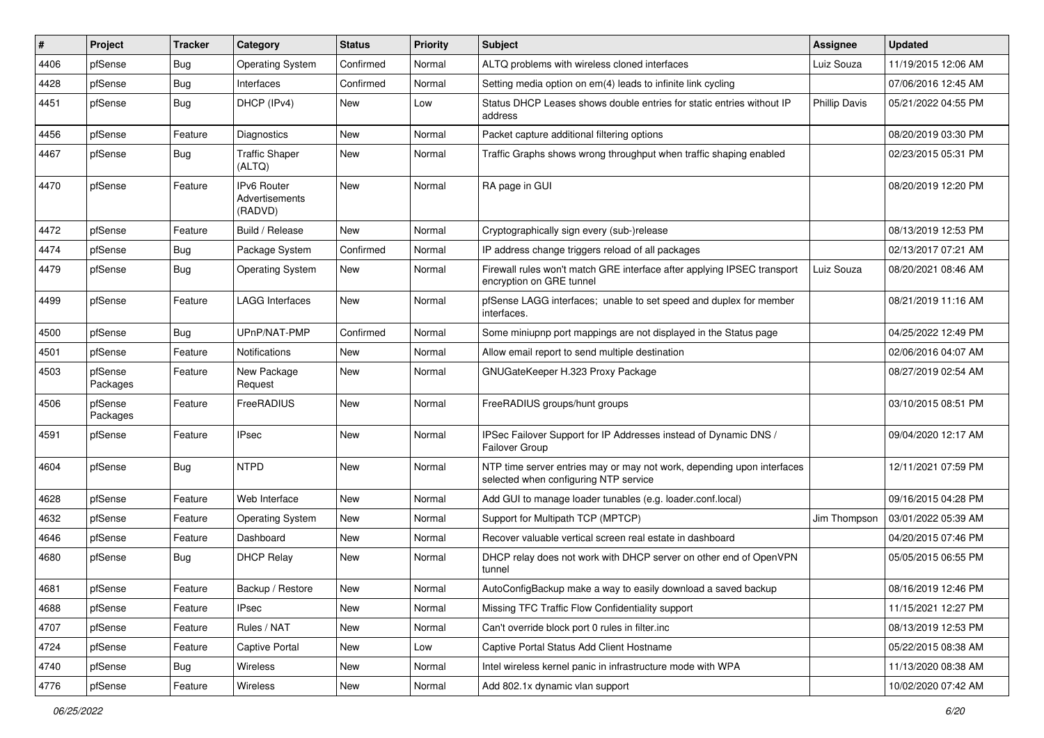| $\#$ | Project             | <b>Tracker</b> | Category                                 | <b>Status</b> | <b>Priority</b> | Subject                                                                                                         | <b>Assignee</b>      | <b>Updated</b>      |
|------|---------------------|----------------|------------------------------------------|---------------|-----------------|-----------------------------------------------------------------------------------------------------------------|----------------------|---------------------|
| 4406 | pfSense             | Bug            | <b>Operating System</b>                  | Confirmed     | Normal          | ALTQ problems with wireless cloned interfaces                                                                   | Luiz Souza           | 11/19/2015 12:06 AM |
| 4428 | pfSense             | Bug            | Interfaces                               | Confirmed     | Normal          | Setting media option on em(4) leads to infinite link cycling                                                    |                      | 07/06/2016 12:45 AM |
| 4451 | pfSense             | Bug            | DHCP (IPv4)                              | New           | Low             | Status DHCP Leases shows double entries for static entries without IP<br>address                                | <b>Phillip Davis</b> | 05/21/2022 04:55 PM |
| 4456 | pfSense             | Feature        | Diagnostics                              | <b>New</b>    | Normal          | Packet capture additional filtering options                                                                     |                      | 08/20/2019 03:30 PM |
| 4467 | pfSense             | <b>Bug</b>     | <b>Traffic Shaper</b><br>(ALTQ)          | New           | Normal          | Traffic Graphs shows wrong throughput when traffic shaping enabled                                              |                      | 02/23/2015 05:31 PM |
| 4470 | pfSense             | Feature        | IPv6 Router<br>Advertisements<br>(RADVD) | <b>New</b>    | Normal          | RA page in GUI                                                                                                  |                      | 08/20/2019 12:20 PM |
| 4472 | pfSense             | Feature        | Build / Release                          | New           | Normal          | Cryptographically sign every (sub-)release                                                                      |                      | 08/13/2019 12:53 PM |
| 4474 | pfSense             | <b>Bug</b>     | Package System                           | Confirmed     | Normal          | IP address change triggers reload of all packages                                                               |                      | 02/13/2017 07:21 AM |
| 4479 | pfSense             | <b>Bug</b>     | <b>Operating System</b>                  | New           | Normal          | Firewall rules won't match GRE interface after applying IPSEC transport<br>encryption on GRE tunnel             | Luiz Souza           | 08/20/2021 08:46 AM |
| 4499 | pfSense             | Feature        | <b>LAGG Interfaces</b>                   | New           | Normal          | pfSense LAGG interfaces; unable to set speed and duplex for member<br>interfaces.                               |                      | 08/21/2019 11:16 AM |
| 4500 | pfSense             | <b>Bug</b>     | UPnP/NAT-PMP                             | Confirmed     | Normal          | Some miniupnp port mappings are not displayed in the Status page                                                |                      | 04/25/2022 12:49 PM |
| 4501 | pfSense             | Feature        | Notifications                            | New           | Normal          | Allow email report to send multiple destination                                                                 |                      | 02/06/2016 04:07 AM |
| 4503 | pfSense<br>Packages | Feature        | New Package<br>Request                   | New           | Normal          | GNUGateKeeper H.323 Proxy Package                                                                               |                      | 08/27/2019 02:54 AM |
| 4506 | pfSense<br>Packages | Feature        | FreeRADIUS                               | <b>New</b>    | Normal          | FreeRADIUS groups/hunt groups                                                                                   |                      | 03/10/2015 08:51 PM |
| 4591 | pfSense             | Feature        | <b>IPsec</b>                             | New           | Normal          | IPSec Failover Support for IP Addresses instead of Dynamic DNS /<br>Failover Group                              |                      | 09/04/2020 12:17 AM |
| 4604 | pfSense             | <b>Bug</b>     | <b>NTPD</b>                              | New           | Normal          | NTP time server entries may or may not work, depending upon interfaces<br>selected when configuring NTP service |                      | 12/11/2021 07:59 PM |
| 4628 | pfSense             | Feature        | Web Interface                            | <b>New</b>    | Normal          | Add GUI to manage loader tunables (e.g. loader.conf.local)                                                      |                      | 09/16/2015 04:28 PM |
| 4632 | pfSense             | Feature        | <b>Operating System</b>                  | New           | Normal          | Support for Multipath TCP (MPTCP)                                                                               | Jim Thompson         | 03/01/2022 05:39 AM |
| 4646 | pfSense             | Feature        | Dashboard                                | New           | Normal          | Recover valuable vertical screen real estate in dashboard                                                       |                      | 04/20/2015 07:46 PM |
| 4680 | pfSense             | <b>Bug</b>     | <b>DHCP Relay</b>                        | New           | Normal          | DHCP relay does not work with DHCP server on other end of OpenVPN<br>tunnel                                     |                      | 05/05/2015 06:55 PM |
| 4681 | pfSense             | Feature        | Backup / Restore                         | New           | Normal          | AutoConfigBackup make a way to easily download a saved backup                                                   |                      | 08/16/2019 12:46 PM |
| 4688 | pfSense             | Feature        | IPsec                                    | New           | Normal          | Missing TFC Traffic Flow Confidentiality support                                                                |                      | 11/15/2021 12:27 PM |
| 4707 | pfSense             | Feature        | Rules / NAT                              | New           | Normal          | Can't override block port 0 rules in filter.inc                                                                 |                      | 08/13/2019 12:53 PM |
| 4724 | pfSense             | Feature        | Captive Portal                           | New           | Low             | Captive Portal Status Add Client Hostname                                                                       |                      | 05/22/2015 08:38 AM |
| 4740 | pfSense             | <b>Bug</b>     | Wireless                                 | New           | Normal          | Intel wireless kernel panic in infrastructure mode with WPA                                                     |                      | 11/13/2020 08:38 AM |
| 4776 | pfSense             | Feature        | Wireless                                 | New           | Normal          | Add 802.1x dynamic vlan support                                                                                 |                      | 10/02/2020 07:42 AM |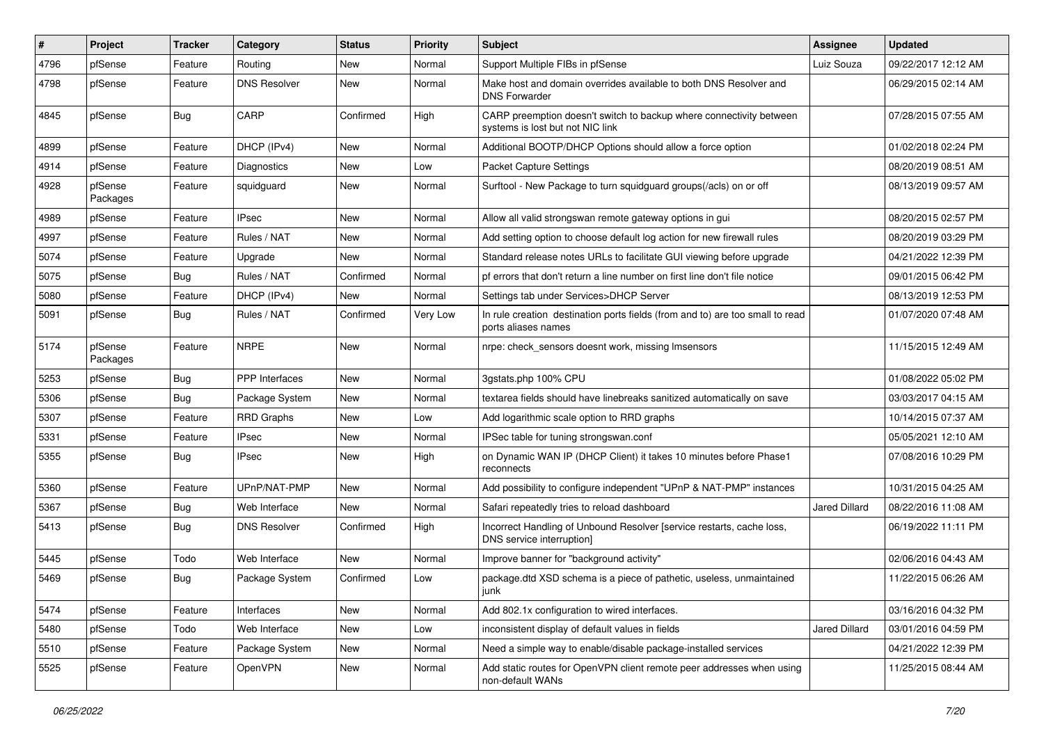| $\vert$ # | Project             | <b>Tracker</b> | Category            | <b>Status</b> | <b>Priority</b> | <b>Subject</b>                                                                                          | <b>Assignee</b>      | <b>Updated</b>      |
|-----------|---------------------|----------------|---------------------|---------------|-----------------|---------------------------------------------------------------------------------------------------------|----------------------|---------------------|
| 4796      | pfSense             | Feature        | Routing             | New           | Normal          | Support Multiple FIBs in pfSense                                                                        | Luiz Souza           | 09/22/2017 12:12 AM |
| 4798      | pfSense             | Feature        | <b>DNS Resolver</b> | New           | Normal          | Make host and domain overrides available to both DNS Resolver and<br><b>DNS Forwarder</b>               |                      | 06/29/2015 02:14 AM |
| 4845      | pfSense             | Bug            | CARP                | Confirmed     | High            | CARP preemption doesn't switch to backup where connectivity between<br>systems is lost but not NIC link |                      | 07/28/2015 07:55 AM |
| 4899      | pfSense             | Feature        | DHCP (IPv4)         | New           | Normal          | Additional BOOTP/DHCP Options should allow a force option                                               |                      | 01/02/2018 02:24 PM |
| 4914      | pfSense             | Feature        | Diagnostics         | <b>New</b>    | Low             | <b>Packet Capture Settings</b>                                                                          |                      | 08/20/2019 08:51 AM |
| 4928      | pfSense<br>Packages | Feature        | squidguard          | <b>New</b>    | Normal          | Surftool - New Package to turn squidquard groups(/acls) on or off                                       |                      | 08/13/2019 09:57 AM |
| 4989      | pfSense             | Feature        | <b>IPsec</b>        | <b>New</b>    | Normal          | Allow all valid strongswan remote gateway options in gui                                                |                      | 08/20/2015 02:57 PM |
| 4997      | pfSense             | Feature        | Rules / NAT         | New           | Normal          | Add setting option to choose default log action for new firewall rules                                  |                      | 08/20/2019 03:29 PM |
| 5074      | pfSense             | Feature        | Upgrade             | New           | Normal          | Standard release notes URLs to facilitate GUI viewing before upgrade                                    |                      | 04/21/2022 12:39 PM |
| 5075      | pfSense             | Bug            | Rules / NAT         | Confirmed     | Normal          | pf errors that don't return a line number on first line don't file notice                               |                      | 09/01/2015 06:42 PM |
| 5080      | pfSense             | Feature        | DHCP (IPv4)         | New           | Normal          | Settings tab under Services>DHCP Server                                                                 |                      | 08/13/2019 12:53 PM |
| 5091      | pfSense             | <b>Bug</b>     | Rules / NAT         | Confirmed     | Very Low        | In rule creation destination ports fields (from and to) are too small to read<br>ports aliases names    |                      | 01/07/2020 07:48 AM |
| 5174      | pfSense<br>Packages | Feature        | <b>NRPE</b>         | New           | Normal          | nrpe: check sensors doesnt work, missing Imsensors                                                      |                      | 11/15/2015 12:49 AM |
| 5253      | pfSense             | Bug            | PPP Interfaces      | <b>New</b>    | Normal          | 3gstats.php 100% CPU                                                                                    |                      | 01/08/2022 05:02 PM |
| 5306      | pfSense             | <b>Bug</b>     | Package System      | <b>New</b>    | Normal          | textarea fields should have linebreaks sanitized automatically on save                                  |                      | 03/03/2017 04:15 AM |
| 5307      | pfSense             | Feature        | <b>RRD Graphs</b>   | <b>New</b>    | Low             | Add logarithmic scale option to RRD graphs                                                              |                      | 10/14/2015 07:37 AM |
| 5331      | pfSense             | Feature        | <b>IPsec</b>        | New           | Normal          | IPSec table for tuning strongswan.conf                                                                  |                      | 05/05/2021 12:10 AM |
| 5355      | pfSense             | <b>Bug</b>     | IPsec               | New           | High            | on Dynamic WAN IP (DHCP Client) it takes 10 minutes before Phase1<br>reconnects                         |                      | 07/08/2016 10:29 PM |
| 5360      | pfSense             | Feature        | UPnP/NAT-PMP        | New           | Normal          | Add possibility to configure independent "UPnP & NAT-PMP" instances                                     |                      | 10/31/2015 04:25 AM |
| 5367      | pfSense             | <b>Bug</b>     | Web Interface       | New           | Normal          | Safari repeatedly tries to reload dashboard                                                             | <b>Jared Dillard</b> | 08/22/2016 11:08 AM |
| 5413      | pfSense             | <b>Bug</b>     | <b>DNS Resolver</b> | Confirmed     | High            | Incorrect Handling of Unbound Resolver [service restarts, cache loss,<br>DNS service interruption]      |                      | 06/19/2022 11:11 PM |
| 5445      | pfSense             | Todo           | Web Interface       | New           | Normal          | Improve banner for "background activity"                                                                |                      | 02/06/2016 04:43 AM |
| 5469      | pfSense             | Bug            | Package System      | Confirmed     | Low             | package.dtd XSD schema is a piece of pathetic, useless, unmaintained<br><b>J</b> unk                    |                      | 11/22/2015 06:26 AM |
| 5474      | pfSense             | Feature        | Interfaces          | New           | Normal          | Add 802.1x configuration to wired interfaces.                                                           |                      | 03/16/2016 04:32 PM |
| 5480      | pfSense             | Todo           | Web Interface       | New           | Low             | inconsistent display of default values in fields                                                        | Jared Dillard        | 03/01/2016 04:59 PM |
| 5510      | pfSense             | Feature        | Package System      | New           | Normal          | Need a simple way to enable/disable package-installed services                                          |                      | 04/21/2022 12:39 PM |
| 5525      | pfSense             | Feature        | OpenVPN             | New           | Normal          | Add static routes for OpenVPN client remote peer addresses when using<br>non-default WANs               |                      | 11/25/2015 08:44 AM |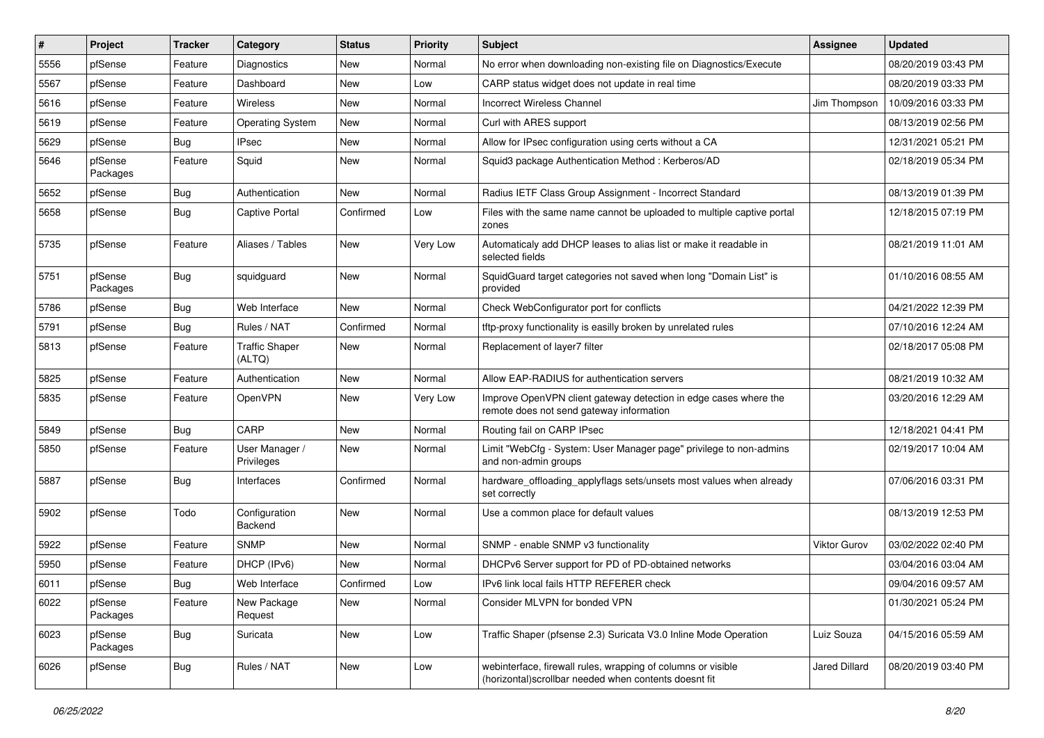| $\sharp$ | Project             | <b>Tracker</b> | Category                        | <b>Status</b> | <b>Priority</b> | Subject                                                                                                                | Assignee             | <b>Updated</b>      |
|----------|---------------------|----------------|---------------------------------|---------------|-----------------|------------------------------------------------------------------------------------------------------------------------|----------------------|---------------------|
| 5556     | pfSense             | Feature        | Diagnostics                     | New           | Normal          | No error when downloading non-existing file on Diagnostics/Execute                                                     |                      | 08/20/2019 03:43 PM |
| 5567     | pfSense             | Feature        | Dashboard                       | New           | Low             | CARP status widget does not update in real time                                                                        |                      | 08/20/2019 03:33 PM |
| 5616     | pfSense             | Feature        | Wireless                        | New           | Normal          | <b>Incorrect Wireless Channel</b>                                                                                      | Jim Thompson         | 10/09/2016 03:33 PM |
| 5619     | pfSense             | Feature        | <b>Operating System</b>         | New           | Normal          | Curl with ARES support                                                                                                 |                      | 08/13/2019 02:56 PM |
| 5629     | pfSense             | <b>Bug</b>     | <b>IPsec</b>                    | New           | Normal          | Allow for IPsec configuration using certs without a CA                                                                 |                      | 12/31/2021 05:21 PM |
| 5646     | pfSense<br>Packages | Feature        | Squid                           | New           | Normal          | Squid3 package Authentication Method: Kerberos/AD                                                                      |                      | 02/18/2019 05:34 PM |
| 5652     | pfSense             | Bug            | Authentication                  | <b>New</b>    | Normal          | Radius IETF Class Group Assignment - Incorrect Standard                                                                |                      | 08/13/2019 01:39 PM |
| 5658     | pfSense             | <b>Bug</b>     | <b>Captive Portal</b>           | Confirmed     | Low             | Files with the same name cannot be uploaded to multiple captive portal<br>zones                                        |                      | 12/18/2015 07:19 PM |
| 5735     | pfSense             | Feature        | Aliases / Tables                | New           | Very Low        | Automaticaly add DHCP leases to alias list or make it readable in<br>selected fields                                   |                      | 08/21/2019 11:01 AM |
| 5751     | pfSense<br>Packages | <b>Bug</b>     | squidguard                      | New           | Normal          | SquidGuard target categories not saved when long "Domain List" is<br>provided                                          |                      | 01/10/2016 08:55 AM |
| 5786     | pfSense             | <b>Bug</b>     | Web Interface                   | <b>New</b>    | Normal          | Check WebConfigurator port for conflicts                                                                               |                      | 04/21/2022 12:39 PM |
| 5791     | pfSense             | Bug            | Rules / NAT                     | Confirmed     | Normal          | tftp-proxy functionality is easilly broken by unrelated rules                                                          |                      | 07/10/2016 12:24 AM |
| 5813     | pfSense             | Feature        | <b>Traffic Shaper</b><br>(ALTQ) | New           | Normal          | Replacement of layer7 filter                                                                                           |                      | 02/18/2017 05:08 PM |
| 5825     | pfSense             | Feature        | Authentication                  | New           | Normal          | Allow EAP-RADIUS for authentication servers                                                                            |                      | 08/21/2019 10:32 AM |
| 5835     | pfSense             | Feature        | OpenVPN                         | New           | Very Low        | Improve OpenVPN client gateway detection in edge cases where the<br>remote does not send gateway information           |                      | 03/20/2016 12:29 AM |
| 5849     | pfSense             | <b>Bug</b>     | CARP                            | New           | Normal          | Routing fail on CARP IPsec                                                                                             |                      | 12/18/2021 04:41 PM |
| 5850     | pfSense             | Feature        | User Manager /<br>Privileges    | <b>New</b>    | Normal          | Limit "WebCfg - System: User Manager page" privilege to non-admins<br>and non-admin groups                             |                      | 02/19/2017 10:04 AM |
| 5887     | pfSense             | <b>Bug</b>     | Interfaces                      | Confirmed     | Normal          | hardware_offloading_applyflags sets/unsets most values when already<br>set correctly                                   |                      | 07/06/2016 03:31 PM |
| 5902     | pfSense             | Todo           | Configuration<br>Backend        | New           | Normal          | Use a common place for default values                                                                                  |                      | 08/13/2019 12:53 PM |
| 5922     | pfSense             | Feature        | <b>SNMP</b>                     | New           | Normal          | SNMP - enable SNMP v3 functionality                                                                                    | <b>Viktor Gurov</b>  | 03/02/2022 02:40 PM |
| 5950     | pfSense             | Feature        | DHCP (IPv6)                     | New           | Normal          | DHCPv6 Server support for PD of PD-obtained networks                                                                   |                      | 03/04/2016 03:04 AM |
| 6011     | pfSense             | Bug            | Web Interface                   | Confirmed     | Low             | IPv6 link local fails HTTP REFERER check                                                                               |                      | 09/04/2016 09:57 AM |
| 6022     | pfSense<br>Packages | Feature        | New Package<br>Request          | New           | Normal          | Consider MLVPN for bonded VPN                                                                                          |                      | 01/30/2021 05:24 PM |
| 6023     | pfSense<br>Packages | <b>Bug</b>     | Suricata                        | New           | Low             | Traffic Shaper (pfsense 2.3) Suricata V3.0 Inline Mode Operation                                                       | Luiz Souza           | 04/15/2016 05:59 AM |
| 6026     | pfSense             | <b>Bug</b>     | Rules / NAT                     | New           | Low             | webinterface, firewall rules, wrapping of columns or visible<br>(horizontal) scrollbar needed when contents doesnt fit | <b>Jared Dillard</b> | 08/20/2019 03:40 PM |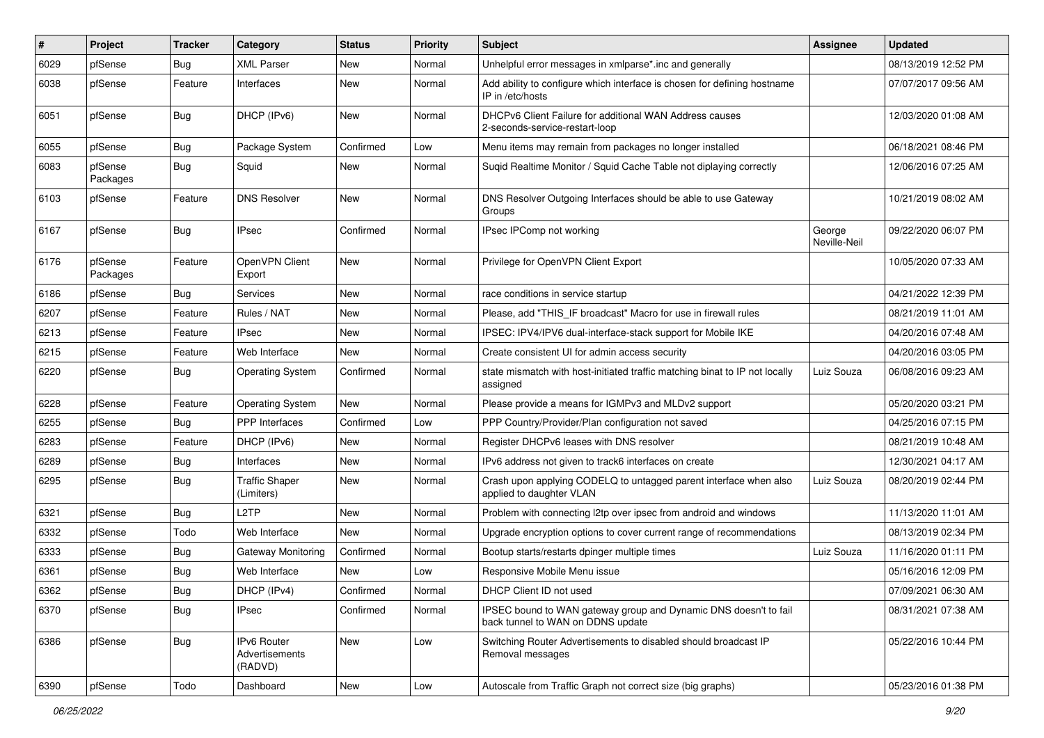| #    | Project             | <b>Tracker</b> | Category                                 | <b>Status</b> | Priority | Subject                                                                                               | Assignee               | <b>Updated</b>      |
|------|---------------------|----------------|------------------------------------------|---------------|----------|-------------------------------------------------------------------------------------------------------|------------------------|---------------------|
| 6029 | pfSense             | Bug            | <b>XML Parser</b>                        | New           | Normal   | Unhelpful error messages in xmlparse*.inc and generally                                               |                        | 08/13/2019 12:52 PM |
| 6038 | pfSense             | Feature        | Interfaces                               | New           | Normal   | Add ability to configure which interface is chosen for defining hostname<br>IP in /etc/hosts          |                        | 07/07/2017 09:56 AM |
| 6051 | pfSense             | <b>Bug</b>     | DHCP (IPv6)                              | New           | Normal   | DHCPv6 Client Failure for additional WAN Address causes<br>2-seconds-service-restart-loop             |                        | 12/03/2020 01:08 AM |
| 6055 | pfSense             | <b>Bug</b>     | Package System                           | Confirmed     | Low      | Menu items may remain from packages no longer installed                                               |                        | 06/18/2021 08:46 PM |
| 6083 | pfSense<br>Packages | <b>Bug</b>     | Squid                                    | New           | Normal   | Suqid Realtime Monitor / Squid Cache Table not diplaying correctly                                    |                        | 12/06/2016 07:25 AM |
| 6103 | pfSense             | Feature        | <b>DNS Resolver</b>                      | <b>New</b>    | Normal   | DNS Resolver Outgoing Interfaces should be able to use Gateway<br>Groups                              |                        | 10/21/2019 08:02 AM |
| 6167 | pfSense             | <b>Bug</b>     | <b>IPsec</b>                             | Confirmed     | Normal   | IPsec IPComp not working                                                                              | George<br>Neville-Neil | 09/22/2020 06:07 PM |
| 6176 | pfSense<br>Packages | Feature        | OpenVPN Client<br>Export                 | New           | Normal   | Privilege for OpenVPN Client Export                                                                   |                        | 10/05/2020 07:33 AM |
| 6186 | pfSense             | Bug            | Services                                 | New           | Normal   | race conditions in service startup                                                                    |                        | 04/21/2022 12:39 PM |
| 6207 | pfSense             | Feature        | Rules / NAT                              | New           | Normal   | Please, add "THIS_IF broadcast" Macro for use in firewall rules                                       |                        | 08/21/2019 11:01 AM |
| 6213 | pfSense             | Feature        | <b>IPsec</b>                             | New           | Normal   | IPSEC: IPV4/IPV6 dual-interface-stack support for Mobile IKE                                          |                        | 04/20/2016 07:48 AM |
| 6215 | pfSense             | Feature        | Web Interface                            | New           | Normal   | Create consistent UI for admin access security                                                        |                        | 04/20/2016 03:05 PM |
| 6220 | pfSense             | Bug            | <b>Operating System</b>                  | Confirmed     | Normal   | state mismatch with host-initiated traffic matching binat to IP not locally<br>assigned               | Luiz Souza             | 06/08/2016 09:23 AM |
| 6228 | pfSense             | Feature        | <b>Operating System</b>                  | New           | Normal   | Please provide a means for IGMPv3 and MLDv2 support                                                   |                        | 05/20/2020 03:21 PM |
| 6255 | pfSense             | Bug            | <b>PPP</b> Interfaces                    | Confirmed     | Low      | PPP Country/Provider/Plan configuration not saved                                                     |                        | 04/25/2016 07:15 PM |
| 6283 | pfSense             | Feature        | DHCP (IPv6)                              | New           | Normal   | Register DHCPv6 leases with DNS resolver                                                              |                        | 08/21/2019 10:48 AM |
| 6289 | pfSense             | Bug            | Interfaces                               | New           | Normal   | IPv6 address not given to track6 interfaces on create                                                 |                        | 12/30/2021 04:17 AM |
| 6295 | pfSense             | <b>Bug</b>     | <b>Traffic Shaper</b><br>(Limiters)      | New           | Normal   | Crash upon applying CODELQ to untagged parent interface when also<br>applied to daughter VLAN         | Luiz Souza             | 08/20/2019 02:44 PM |
| 6321 | pfSense             | <b>Bug</b>     | L <sub>2</sub> TP                        | New           | Normal   | Problem with connecting I2tp over ipsec from android and windows                                      |                        | 11/13/2020 11:01 AM |
| 6332 | pfSense             | Todo           | Web Interface                            | <b>New</b>    | Normal   | Upgrade encryption options to cover current range of recommendations                                  |                        | 08/13/2019 02:34 PM |
| 6333 | pfSense             | Bug            | Gateway Monitoring                       | Confirmed     | Normal   | Bootup starts/restarts dpinger multiple times                                                         | Luiz Souza             | 11/16/2020 01:11 PM |
| 6361 | pfSense             | <b>Bug</b>     | Web Interface                            | New           | Low      | Responsive Mobile Menu issue                                                                          |                        | 05/16/2016 12:09 PM |
| 6362 | pfSense             | <b>Bug</b>     | DHCP (IPv4)                              | Confirmed     | Normal   | DHCP Client ID not used                                                                               |                        | 07/09/2021 06:30 AM |
| 6370 | pfSense             | Bug            | <b>IPsec</b>                             | Confirmed     | Normal   | IPSEC bound to WAN gateway group and Dynamic DNS doesn't to fail<br>back tunnel to WAN on DDNS update |                        | 08/31/2021 07:38 AM |
| 6386 | pfSense             | <b>Bug</b>     | IPv6 Router<br>Advertisements<br>(RADVD) | New           | Low      | Switching Router Advertisements to disabled should broadcast IP<br>Removal messages                   |                        | 05/22/2016 10:44 PM |
| 6390 | pfSense             | Todo           | Dashboard                                | New           | Low      | Autoscale from Traffic Graph not correct size (big graphs)                                            |                        | 05/23/2016 01:38 PM |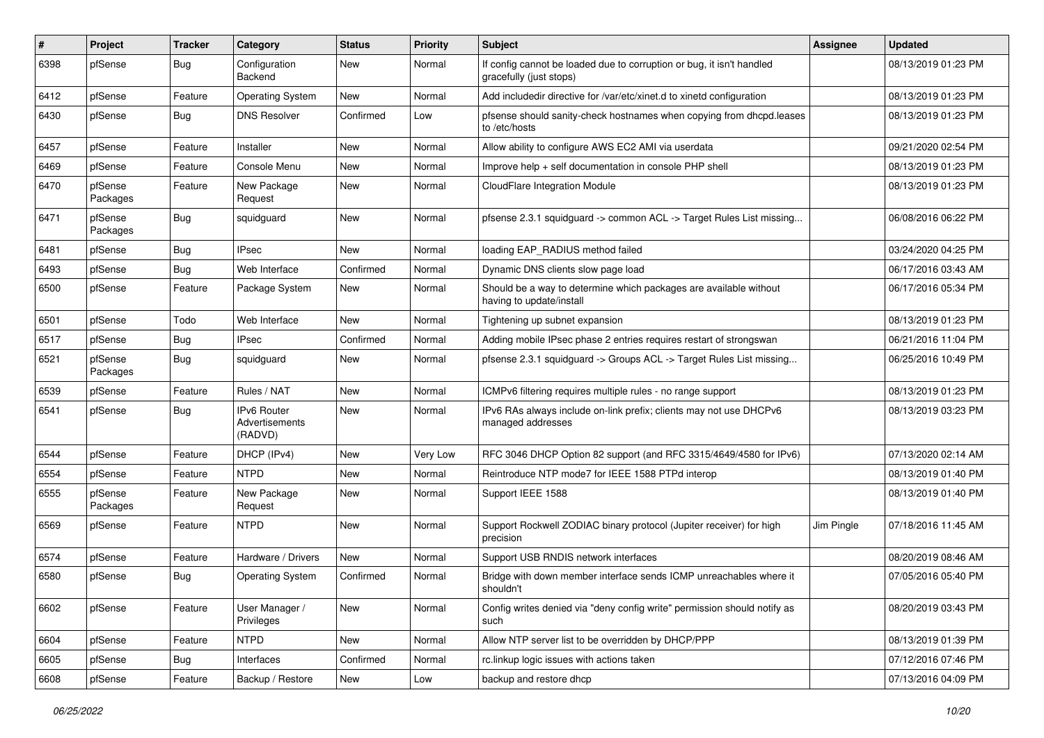| #    | Project             | <b>Tracker</b> | Category                                        | <b>Status</b> | <b>Priority</b> | <b>Subject</b>                                                                                   | Assignee   | <b>Updated</b>      |
|------|---------------------|----------------|-------------------------------------------------|---------------|-----------------|--------------------------------------------------------------------------------------------------|------------|---------------------|
| 6398 | pfSense             | <b>Bug</b>     | Configuration<br>Backend                        | New           | Normal          | If config cannot be loaded due to corruption or bug, it isn't handled<br>gracefully (just stops) |            | 08/13/2019 01:23 PM |
| 6412 | pfSense             | Feature        | <b>Operating System</b>                         | <b>New</b>    | Normal          | Add includedir directive for /var/etc/xinet.d to xinetd configuration                            |            | 08/13/2019 01:23 PM |
| 6430 | pfSense             | <b>Bug</b>     | <b>DNS Resolver</b>                             | Confirmed     | Low             | pfsense should sanity-check hostnames when copying from dhcpd.leases<br>to /etc/hosts            |            | 08/13/2019 01:23 PM |
| 6457 | pfSense             | Feature        | Installer                                       | New           | Normal          | Allow ability to configure AWS EC2 AMI via userdata                                              |            | 09/21/2020 02:54 PM |
| 6469 | pfSense             | Feature        | Console Menu                                    | <b>New</b>    | Normal          | Improve help + self documentation in console PHP shell                                           |            | 08/13/2019 01:23 PM |
| 6470 | pfSense<br>Packages | Feature        | New Package<br>Request                          | New           | Normal          | CloudFlare Integration Module                                                                    |            | 08/13/2019 01:23 PM |
| 6471 | pfSense<br>Packages | <b>Bug</b>     | squidguard                                      | New           | Normal          | pfsense 2.3.1 squidguard -> common ACL -> Target Rules List missing                              |            | 06/08/2016 06:22 PM |
| 6481 | pfSense             | Bug            | <b>IPsec</b>                                    | New           | Normal          | loading EAP_RADIUS method failed                                                                 |            | 03/24/2020 04:25 PM |
| 6493 | pfSense             | <b>Bug</b>     | Web Interface                                   | Confirmed     | Normal          | Dynamic DNS clients slow page load                                                               |            | 06/17/2016 03:43 AM |
| 6500 | pfSense             | Feature        | Package System                                  | New           | Normal          | Should be a way to determine which packages are available without<br>having to update/install    |            | 06/17/2016 05:34 PM |
| 6501 | pfSense             | Todo           | Web Interface                                   | New           | Normal          | Tightening up subnet expansion                                                                   |            | 08/13/2019 01:23 PM |
| 6517 | pfSense             | <b>Bug</b>     | <b>IPsec</b>                                    | Confirmed     | Normal          | Adding mobile IPsec phase 2 entries requires restart of strongswan                               |            | 06/21/2016 11:04 PM |
| 6521 | pfSense<br>Packages | <b>Bug</b>     | squidguard                                      | New           | Normal          | pfsense 2.3.1 squidguard -> Groups ACL -> Target Rules List missing                              |            | 06/25/2016 10:49 PM |
| 6539 | pfSense             | Feature        | Rules / NAT                                     | New           | Normal          | ICMPv6 filtering requires multiple rules - no range support                                      |            | 08/13/2019 01:23 PM |
| 6541 | pfSense             | <b>Bug</b>     | <b>IPv6 Router</b><br>Advertisements<br>(RADVD) | New           | Normal          | IPv6 RAs always include on-link prefix; clients may not use DHCPv6<br>managed addresses          |            | 08/13/2019 03:23 PM |
| 6544 | pfSense             | Feature        | DHCP (IPv4)                                     | <b>New</b>    | Very Low        | RFC 3046 DHCP Option 82 support (and RFC 3315/4649/4580 for IPv6)                                |            | 07/13/2020 02:14 AM |
| 6554 | pfSense             | Feature        | <b>NTPD</b>                                     | New           | Normal          | Reintroduce NTP mode7 for IEEE 1588 PTPd interop                                                 |            | 08/13/2019 01:40 PM |
| 6555 | pfSense<br>Packages | Feature        | New Package<br>Request                          | <b>New</b>    | Normal          | Support IEEE 1588                                                                                |            | 08/13/2019 01:40 PM |
| 6569 | pfSense             | Feature        | <b>NTPD</b>                                     | <b>New</b>    | Normal          | Support Rockwell ZODIAC binary protocol (Jupiter receiver) for high<br>precision                 | Jim Pingle | 07/18/2016 11:45 AM |
| 6574 | pfSense             | Feature        | Hardware / Drivers                              | <b>New</b>    | Normal          | Support USB RNDIS network interfaces                                                             |            | 08/20/2019 08:46 AM |
| 6580 | pfSense             | Bug            | <b>Operating System</b>                         | Confirmed     | Normal          | Bridge with down member interface sends ICMP unreachables where it<br>shouldn't                  |            | 07/05/2016 05:40 PM |
| 6602 | pfSense             | Feature        | User Manager /<br>Privileges                    | New           | Normal          | Config writes denied via "deny config write" permission should notify as<br>such                 |            | 08/20/2019 03:43 PM |
| 6604 | pfSense             | Feature        | <b>NTPD</b>                                     | New           | Normal          | Allow NTP server list to be overridden by DHCP/PPP                                               |            | 08/13/2019 01:39 PM |
| 6605 | pfSense             | <b>Bug</b>     | Interfaces                                      | Confirmed     | Normal          | rc.linkup logic issues with actions taken                                                        |            | 07/12/2016 07:46 PM |
| 6608 | pfSense             | Feature        | Backup / Restore                                | New           | Low             | backup and restore dhcp                                                                          |            | 07/13/2016 04:09 PM |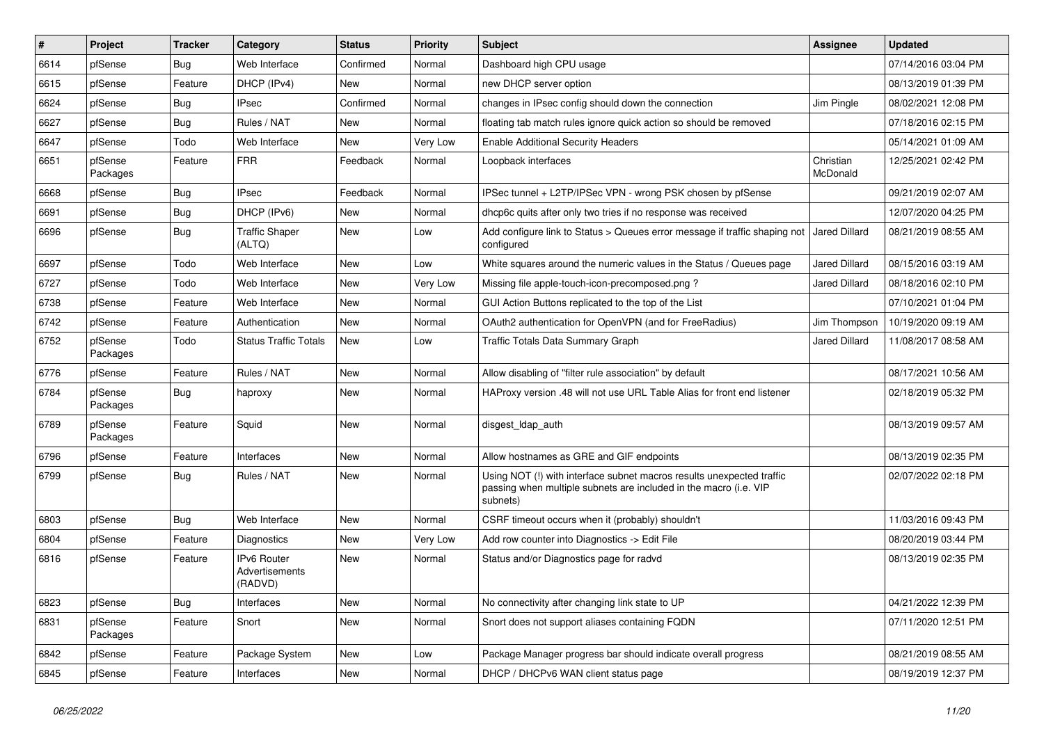| $\#$ | Project             | <b>Tracker</b> | Category                                 | <b>Status</b> | Priority | <b>Subject</b>                                                                                                                                         | Assignee              | <b>Updated</b>      |
|------|---------------------|----------------|------------------------------------------|---------------|----------|--------------------------------------------------------------------------------------------------------------------------------------------------------|-----------------------|---------------------|
| 6614 | pfSense             | <b>Bug</b>     | Web Interface                            | Confirmed     | Normal   | Dashboard high CPU usage                                                                                                                               |                       | 07/14/2016 03:04 PM |
| 6615 | pfSense             | Feature        | DHCP (IPv4)                              | <b>New</b>    | Normal   | new DHCP server option                                                                                                                                 |                       | 08/13/2019 01:39 PM |
| 6624 | pfSense             | Bug            | <b>IPsec</b>                             | Confirmed     | Normal   | changes in IPsec config should down the connection                                                                                                     | Jim Pingle            | 08/02/2021 12:08 PM |
| 6627 | pfSense             | Bug            | Rules / NAT                              | New           | Normal   | floating tab match rules ignore quick action so should be removed                                                                                      |                       | 07/18/2016 02:15 PM |
| 6647 | pfSense             | Todo           | Web Interface                            | <b>New</b>    | Very Low | <b>Enable Additional Security Headers</b>                                                                                                              |                       | 05/14/2021 01:09 AM |
| 6651 | pfSense<br>Packages | Feature        | <b>FRR</b>                               | Feedback      | Normal   | Loopback interfaces                                                                                                                                    | Christian<br>McDonald | 12/25/2021 02:42 PM |
| 6668 | pfSense             | Bug            | <b>IPsec</b>                             | Feedback      | Normal   | IPSec tunnel + L2TP/IPSec VPN - wrong PSK chosen by pfSense                                                                                            |                       | 09/21/2019 02:07 AM |
| 6691 | pfSense             | Bug            | DHCP (IPv6)                              | New           | Normal   | dhcp6c quits after only two tries if no response was received                                                                                          |                       | 12/07/2020 04:25 PM |
| 6696 | pfSense             | <b>Bug</b>     | <b>Traffic Shaper</b><br>(ALTQ)          | New           | Low      | Add configure link to Status > Queues error message if traffic shaping not<br>configured                                                               | Jared Dillard         | 08/21/2019 08:55 AM |
| 6697 | pfSense             | Todo           | Web Interface                            | New           | Low      | White squares around the numeric values in the Status / Queues page                                                                                    | <b>Jared Dillard</b>  | 08/15/2016 03:19 AM |
| 6727 | pfSense             | Todo           | Web Interface                            | <b>New</b>    | Very Low | Missing file apple-touch-icon-precomposed.png?                                                                                                         | Jared Dillard         | 08/18/2016 02:10 PM |
| 6738 | pfSense             | Feature        | Web Interface                            | New           | Normal   | GUI Action Buttons replicated to the top of the List                                                                                                   |                       | 07/10/2021 01:04 PM |
| 6742 | pfSense             | Feature        | Authentication                           | New           | Normal   | OAuth2 authentication for OpenVPN (and for FreeRadius)                                                                                                 | Jim Thompson          | 10/19/2020 09:19 AM |
| 6752 | pfSense<br>Packages | Todo           | <b>Status Traffic Totals</b>             | New           | Low      | Traffic Totals Data Summary Graph                                                                                                                      | Jared Dillard         | 11/08/2017 08:58 AM |
| 6776 | pfSense             | Feature        | Rules / NAT                              | New           | Normal   | Allow disabling of "filter rule association" by default                                                                                                |                       | 08/17/2021 10:56 AM |
| 6784 | pfSense<br>Packages | Bug            | haproxy                                  | New           | Normal   | HAProxy version .48 will not use URL Table Alias for front end listener                                                                                |                       | 02/18/2019 05:32 PM |
| 6789 | pfSense<br>Packages | Feature        | Squid                                    | New           | Normal   | disgest_ldap_auth                                                                                                                                      |                       | 08/13/2019 09:57 AM |
| 6796 | pfSense             | Feature        | Interfaces                               | New           | Normal   | Allow hostnames as GRE and GIF endpoints                                                                                                               |                       | 08/13/2019 02:35 PM |
| 6799 | pfSense             | <b>Bug</b>     | Rules / NAT                              | <b>New</b>    | Normal   | Using NOT (!) with interface subnet macros results unexpected traffic<br>passing when multiple subnets are included in the macro (i.e. VIP<br>subnets) |                       | 02/07/2022 02:18 PM |
| 6803 | pfSense             | Bug            | Web Interface                            | New           | Normal   | CSRF timeout occurs when it (probably) shouldn't                                                                                                       |                       | 11/03/2016 09:43 PM |
| 6804 | pfSense             | Feature        | Diagnostics                              | <b>New</b>    | Very Low | Add row counter into Diagnostics -> Edit File                                                                                                          |                       | 08/20/2019 03:44 PM |
| 6816 | pfSense             | Feature        | IPv6 Router<br>Advertisements<br>(RADVD) | <b>New</b>    | Normal   | Status and/or Diagnostics page for radvd                                                                                                               |                       | 08/13/2019 02:35 PM |
| 6823 | pfSense             | Bug            | Interfaces                               | New           | Normal   | No connectivity after changing link state to UP                                                                                                        |                       | 04/21/2022 12:39 PM |
| 6831 | pfSense<br>Packages | Feature        | Snort                                    | New           | Normal   | Snort does not support aliases containing FQDN                                                                                                         |                       | 07/11/2020 12:51 PM |
| 6842 | pfSense             | Feature        | Package System                           | New           | Low      | Package Manager progress bar should indicate overall progress                                                                                          |                       | 08/21/2019 08:55 AM |
| 6845 | pfSense             | Feature        | Interfaces                               | New           | Normal   | DHCP / DHCPv6 WAN client status page                                                                                                                   |                       | 08/19/2019 12:37 PM |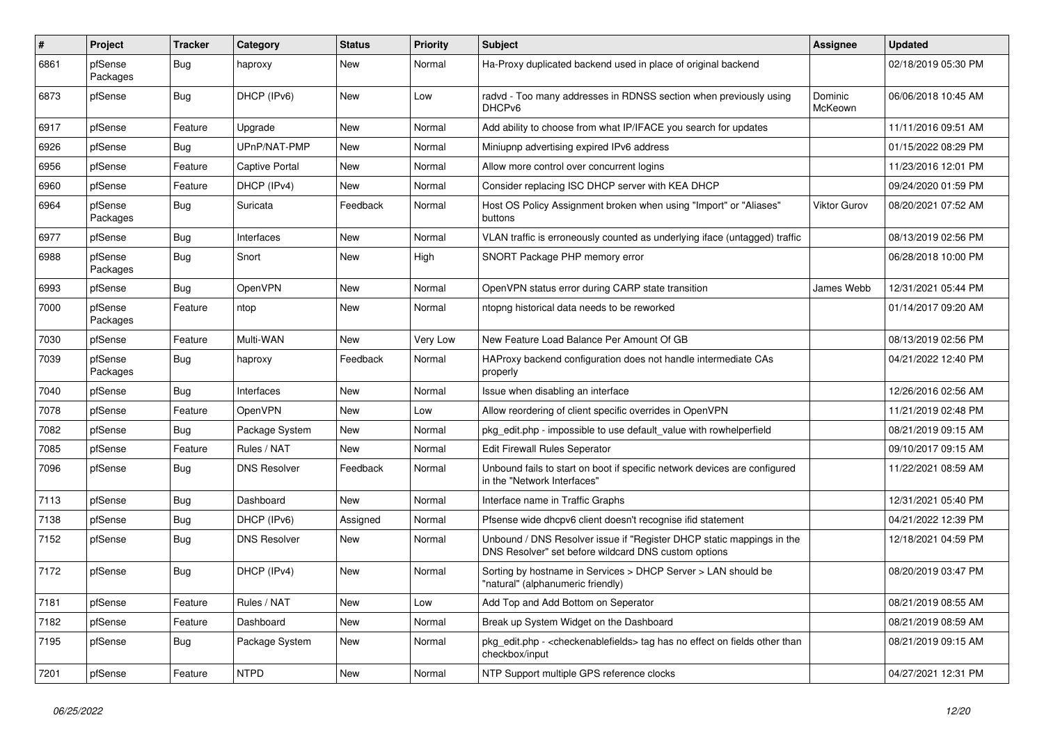| #    | Project             | <b>Tracker</b> | Category              | <b>Status</b> | <b>Priority</b> | Subject                                                                                                                       | <b>Assignee</b>    | <b>Updated</b>      |
|------|---------------------|----------------|-----------------------|---------------|-----------------|-------------------------------------------------------------------------------------------------------------------------------|--------------------|---------------------|
| 6861 | pfSense<br>Packages | <b>Bug</b>     | haproxy               | New           | Normal          | Ha-Proxy duplicated backend used in place of original backend                                                                 |                    | 02/18/2019 05:30 PM |
| 6873 | pfSense             | Bug            | DHCP (IPv6)           | New           | Low             | radvd - Too many addresses in RDNSS section when previously using<br>DHCP <sub>v6</sub>                                       | Dominic<br>McKeown | 06/06/2018 10:45 AM |
| 6917 | pfSense             | Feature        | Upgrade               | New           | Normal          | Add ability to choose from what IP/IFACE you search for updates                                                               |                    | 11/11/2016 09:51 AM |
| 6926 | pfSense             | <b>Bug</b>     | UPnP/NAT-PMP          | New           | Normal          | Miniupnp advertising expired IPv6 address                                                                                     |                    | 01/15/2022 08:29 PM |
| 6956 | pfSense             | Feature        | <b>Captive Portal</b> | New           | Normal          | Allow more control over concurrent logins                                                                                     |                    | 11/23/2016 12:01 PM |
| 6960 | pfSense             | Feature        | DHCP (IPv4)           | New           | Normal          | Consider replacing ISC DHCP server with KEA DHCP                                                                              |                    | 09/24/2020 01:59 PM |
| 6964 | pfSense<br>Packages | <b>Bug</b>     | Suricata              | Feedback      | Normal          | Host OS Policy Assignment broken when using "Import" or "Aliases"<br>buttons                                                  | Viktor Gurov       | 08/20/2021 07:52 AM |
| 6977 | pfSense             | Bug            | Interfaces            | New           | Normal          | VLAN traffic is erroneously counted as underlying iface (untagged) traffic                                                    |                    | 08/13/2019 02:56 PM |
| 6988 | pfSense<br>Packages | <b>Bug</b>     | Snort                 | New           | High            | SNORT Package PHP memory error                                                                                                |                    | 06/28/2018 10:00 PM |
| 6993 | pfSense             | Bug            | <b>OpenVPN</b>        | New           | Normal          | OpenVPN status error during CARP state transition                                                                             | James Webb         | 12/31/2021 05:44 PM |
| 7000 | pfSense<br>Packages | Feature        | ntop                  | New           | Normal          | ntopng historical data needs to be reworked                                                                                   |                    | 01/14/2017 09:20 AM |
| 7030 | pfSense             | Feature        | Multi-WAN             | New           | Very Low        | New Feature Load Balance Per Amount Of GB                                                                                     |                    | 08/13/2019 02:56 PM |
| 7039 | pfSense<br>Packages | <b>Bug</b>     | haproxy               | Feedback      | Normal          | HAProxy backend configuration does not handle intermediate CAs<br>properly                                                    |                    | 04/21/2022 12:40 PM |
| 7040 | pfSense             | <b>Bug</b>     | Interfaces            | New           | Normal          | Issue when disabling an interface                                                                                             |                    | 12/26/2016 02:56 AM |
| 7078 | pfSense             | Feature        | OpenVPN               | New           | Low             | Allow reordering of client specific overrides in OpenVPN                                                                      |                    | 11/21/2019 02:48 PM |
| 7082 | pfSense             | <b>Bug</b>     | Package System        | New           | Normal          | pkg_edit.php - impossible to use default_value with rowhelperfield                                                            |                    | 08/21/2019 09:15 AM |
| 7085 | pfSense             | Feature        | Rules / NAT           | New           | Normal          | Edit Firewall Rules Seperator                                                                                                 |                    | 09/10/2017 09:15 AM |
| 7096 | pfSense             | Bug            | <b>DNS Resolver</b>   | Feedback      | Normal          | Unbound fails to start on boot if specific network devices are configured<br>in the "Network Interfaces"                      |                    | 11/22/2021 08:59 AM |
| 7113 | pfSense             | Bug            | Dashboard             | <b>New</b>    | Normal          | Interface name in Traffic Graphs                                                                                              |                    | 12/31/2021 05:40 PM |
| 7138 | pfSense             | <b>Bug</b>     | DHCP (IPv6)           | Assigned      | Normal          | Pfsense wide dhcpv6 client doesn't recognise ifid statement                                                                   |                    | 04/21/2022 12:39 PM |
| 7152 | pfSense             | <b>Bug</b>     | <b>DNS Resolver</b>   | New           | Normal          | Unbound / DNS Resolver issue if "Register DHCP static mappings in the<br>DNS Resolver" set before wildcard DNS custom options |                    | 12/18/2021 04:59 PM |
| 7172 | pfSense             | Bug            | DHCP (IPv4)           | New           | Normal          | Sorting by hostname in Services > DHCP Server > LAN should be<br>"natural" (alphanumeric friendly)                            |                    | 08/20/2019 03:47 PM |
| 7181 | pfSense             | Feature        | Rules / NAT           | New           | Low             | Add Top and Add Bottom on Seperator                                                                                           |                    | 08/21/2019 08:55 AM |
| 7182 | pfSense             | Feature        | Dashboard             | New           | Normal          | Break up System Widget on the Dashboard                                                                                       |                    | 08/21/2019 08:59 AM |
| 7195 | pfSense             | <b>Bug</b>     | Package System        | New           | Normal          | pkg_edit.php - <checkenablefields> tag has no effect on fields other than<br/>checkbox/input</checkenablefields>              |                    | 08/21/2019 09:15 AM |
| 7201 | pfSense             | Feature        | <b>NTPD</b>           | New           | Normal          | NTP Support multiple GPS reference clocks                                                                                     |                    | 04/27/2021 12:31 PM |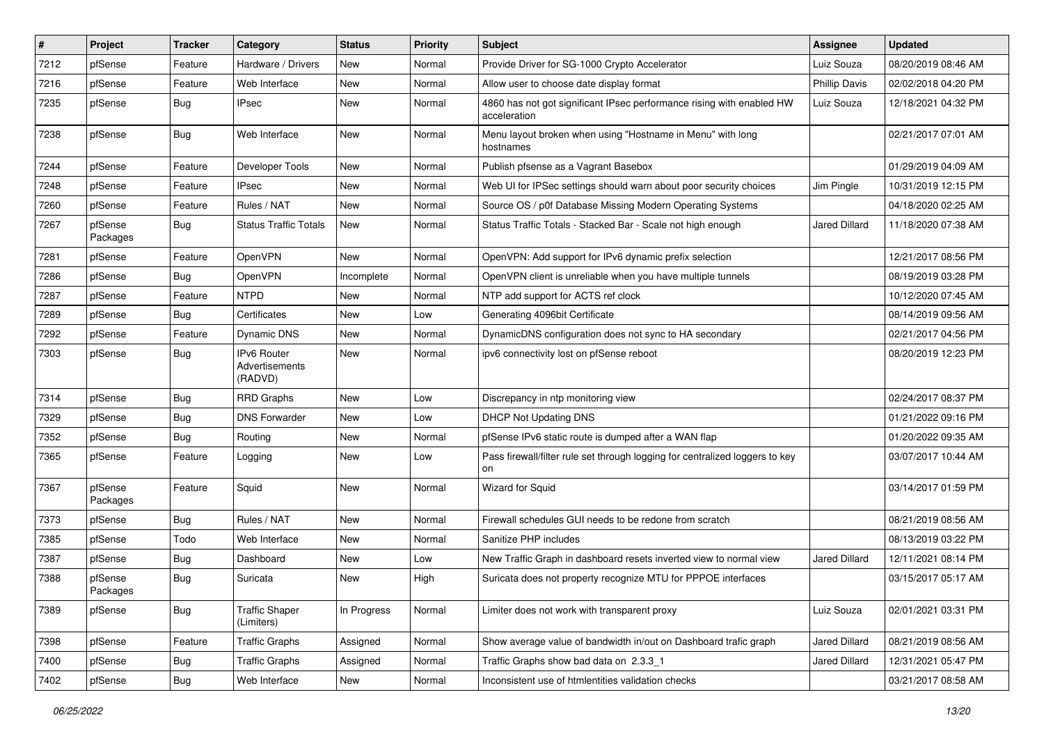| $\sharp$ | Project             | <b>Tracker</b> | Category                                 | <b>Status</b> | <b>Priority</b> | Subject                                                                               | <b>Assignee</b>      | <b>Updated</b>      |
|----------|---------------------|----------------|------------------------------------------|---------------|-----------------|---------------------------------------------------------------------------------------|----------------------|---------------------|
| 7212     | pfSense             | Feature        | Hardware / Drivers                       | New           | Normal          | Provide Driver for SG-1000 Crypto Accelerator                                         | Luiz Souza           | 08/20/2019 08:46 AM |
| 7216     | pfSense             | Feature        | Web Interface                            | New           | Normal          | Allow user to choose date display format                                              | <b>Phillip Davis</b> | 02/02/2018 04:20 PM |
| 7235     | pfSense             | Bug            | <b>IPsec</b>                             | New           | Normal          | 4860 has not got significant IPsec performance rising with enabled HW<br>acceleration | Luiz Souza           | 12/18/2021 04:32 PM |
| 7238     | pfSense             | Bug            | Web Interface                            | New           | Normal          | Menu layout broken when using "Hostname in Menu" with long<br>hostnames               |                      | 02/21/2017 07:01 AM |
| 7244     | pfSense             | Feature        | Developer Tools                          | New           | Normal          | Publish pfsense as a Vagrant Basebox                                                  |                      | 01/29/2019 04:09 AM |
| 7248     | pfSense             | Feature        | <b>IPsec</b>                             | New           | Normal          | Web UI for IPSec settings should warn about poor security choices                     | Jim Pingle           | 10/31/2019 12:15 PM |
| 7260     | pfSense             | Feature        | Rules / NAT                              | New           | Normal          | Source OS / p0f Database Missing Modern Operating Systems                             |                      | 04/18/2020 02:25 AM |
| 7267     | pfSense<br>Packages | <b>Bug</b>     | <b>Status Traffic Totals</b>             | New           | Normal          | Status Traffic Totals - Stacked Bar - Scale not high enough                           | <b>Jared Dillard</b> | 11/18/2020 07:38 AM |
| 7281     | pfSense             | Feature        | OpenVPN                                  | New           | Normal          | OpenVPN: Add support for IPv6 dynamic prefix selection                                |                      | 12/21/2017 08:56 PM |
| 7286     | pfSense             | <b>Bug</b>     | OpenVPN                                  | Incomplete    | Normal          | OpenVPN client is unreliable when you have multiple tunnels                           |                      | 08/19/2019 03:28 PM |
| 7287     | pfSense             | Feature        | <b>NTPD</b>                              | New           | Normal          | NTP add support for ACTS ref clock                                                    |                      | 10/12/2020 07:45 AM |
| 7289     | pfSense             | <b>Bug</b>     | Certificates                             | New           | Low             | Generating 4096bit Certificate                                                        |                      | 08/14/2019 09:56 AM |
| 7292     | pfSense             | Feature        | <b>Dynamic DNS</b>                       | <b>New</b>    | Normal          | DynamicDNS configuration does not sync to HA secondary                                |                      | 02/21/2017 04:56 PM |
| 7303     | pfSense             | Bug            | IPv6 Router<br>Advertisements<br>(RADVD) | New           | Normal          | ipv6 connectivity lost on pfSense reboot                                              |                      | 08/20/2019 12:23 PM |
| 7314     | pfSense             | Bug            | <b>RRD Graphs</b>                        | New           | Low             | Discrepancy in ntp monitoring view                                                    |                      | 02/24/2017 08:37 PM |
| 7329     | pfSense             | Bug            | <b>DNS Forwarder</b>                     | New           | Low             | <b>DHCP Not Updating DNS</b>                                                          |                      | 01/21/2022 09:16 PM |
| 7352     | pfSense             | <b>Bug</b>     | Routing                                  | New           | Normal          | pfSense IPv6 static route is dumped after a WAN flap                                  |                      | 01/20/2022 09:35 AM |
| 7365     | pfSense             | Feature        | Logging                                  | New           | Low             | Pass firewall/filter rule set through logging for centralized loggers to key<br>on    |                      | 03/07/2017 10:44 AM |
| 7367     | pfSense<br>Packages | Feature        | Squid                                    | New           | Normal          | Wizard for Squid                                                                      |                      | 03/14/2017 01:59 PM |
| 7373     | pfSense             | <b>Bug</b>     | Rules / NAT                              | New           | Normal          | Firewall schedules GUI needs to be redone from scratch                                |                      | 08/21/2019 08:56 AM |
| 7385     | pfSense             | Todo           | Web Interface                            | New           | Normal          | Sanitize PHP includes                                                                 |                      | 08/13/2019 03:22 PM |
| 7387     | pfSense             | <b>Bug</b>     | Dashboard                                | New           | Low             | New Traffic Graph in dashboard resets inverted view to normal view                    | <b>Jared Dillard</b> | 12/11/2021 08:14 PM |
| 7388     | pfSense<br>Packages | <b>Bug</b>     | Suricata                                 | New           | High            | Suricata does not property recognize MTU for PPPOE interfaces                         |                      | 03/15/2017 05:17 AM |
| 7389     | pfSense             | <b>Bug</b>     | <b>Traffic Shaper</b><br>(Limiters)      | In Progress   | Normal          | Limiter does not work with transparent proxy                                          | Luiz Souza           | 02/01/2021 03:31 PM |
| 7398     | pfSense             | Feature        | <b>Traffic Graphs</b>                    | Assigned      | Normal          | Show average value of bandwidth in/out on Dashboard trafic graph                      | Jared Dillard        | 08/21/2019 08:56 AM |
| 7400     | pfSense             | Bug            | <b>Traffic Graphs</b>                    | Assigned      | Normal          | Traffic Graphs show bad data on 2.3.3_1                                               | Jared Dillard        | 12/31/2021 05:47 PM |
| 7402     | pfSense             | <b>Bug</b>     | Web Interface                            | New           | Normal          | Inconsistent use of htmlentities validation checks                                    |                      | 03/21/2017 08:58 AM |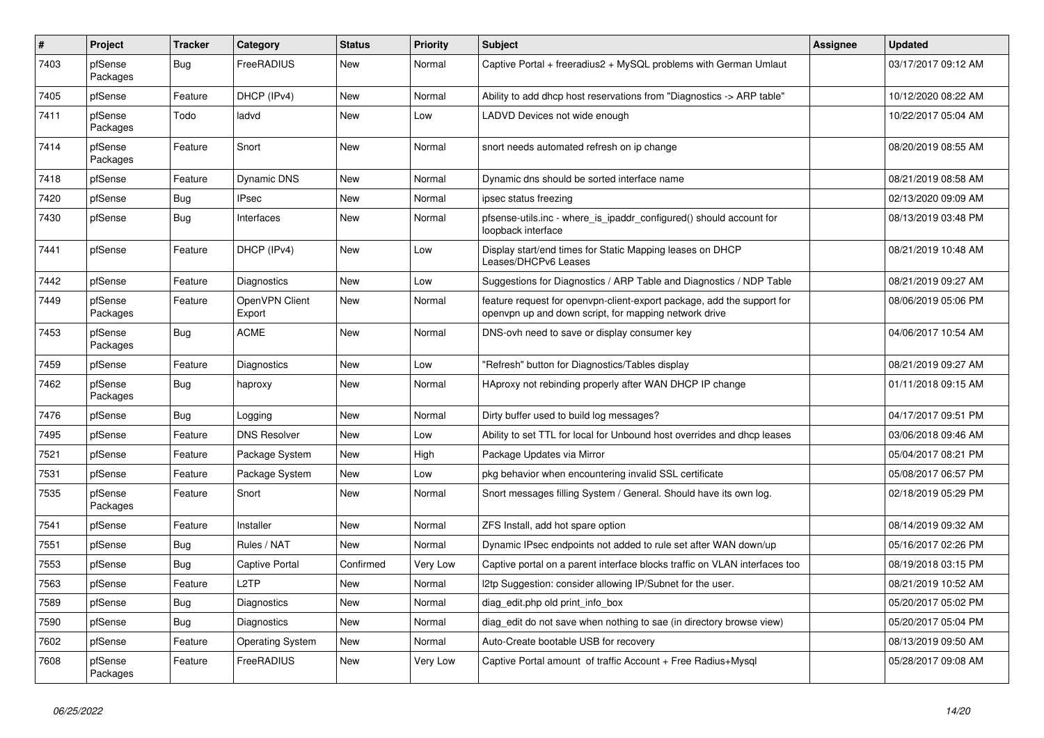| $\vert$ # | Project             | <b>Tracker</b> | Category                 | <b>Status</b> | <b>Priority</b> | <b>Subject</b>                                                                                                                  | <b>Assignee</b> | <b>Updated</b>      |
|-----------|---------------------|----------------|--------------------------|---------------|-----------------|---------------------------------------------------------------------------------------------------------------------------------|-----------------|---------------------|
| 7403      | pfSense<br>Packages | <b>Bug</b>     | FreeRADIUS               | <b>New</b>    | Normal          | Captive Portal + freeradius2 + MySQL problems with German Umlaut                                                                |                 | 03/17/2017 09:12 AM |
| 7405      | pfSense             | Feature        | DHCP (IPv4)              | <b>New</b>    | Normal          | Ability to add dhcp host reservations from "Diagnostics -> ARP table"                                                           |                 | 10/12/2020 08:22 AM |
| 7411      | pfSense<br>Packages | Todo           | ladvd                    | <b>New</b>    | Low             | LADVD Devices not wide enough                                                                                                   |                 | 10/22/2017 05:04 AM |
| 7414      | pfSense<br>Packages | Feature        | Snort                    | <b>New</b>    | Normal          | snort needs automated refresh on ip change                                                                                      |                 | 08/20/2019 08:55 AM |
| 7418      | pfSense             | Feature        | Dynamic DNS              | <b>New</b>    | Normal          | Dynamic dns should be sorted interface name                                                                                     |                 | 08/21/2019 08:58 AM |
| 7420      | pfSense             | <b>Bug</b>     | <b>IPsec</b>             | <b>New</b>    | Normal          | ipsec status freezing                                                                                                           |                 | 02/13/2020 09:09 AM |
| 7430      | pfSense             | <b>Bug</b>     | Interfaces               | New           | Normal          | pfsense-utils.inc - where is ipaddr configured() should account for<br>loopback interface                                       |                 | 08/13/2019 03:48 PM |
| 7441      | pfSense             | Feature        | DHCP (IPv4)              | <b>New</b>    | Low             | Display start/end times for Static Mapping leases on DHCP<br>Leases/DHCPv6 Leases                                               |                 | 08/21/2019 10:48 AM |
| 7442      | pfSense             | Feature        | Diagnostics              | <b>New</b>    | Low             | Suggestions for Diagnostics / ARP Table and Diagnostics / NDP Table                                                             |                 | 08/21/2019 09:27 AM |
| 7449      | pfSense<br>Packages | Feature        | OpenVPN Client<br>Export | <b>New</b>    | Normal          | feature request for openypn-client-export package, add the support for<br>openvpn up and down script, for mapping network drive |                 | 08/06/2019 05:06 PM |
| 7453      | pfSense<br>Packages | Bug            | <b>ACME</b>              | New           | Normal          | DNS-ovh need to save or display consumer key                                                                                    |                 | 04/06/2017 10:54 AM |
| 7459      | pfSense             | Feature        | Diagnostics              | <b>New</b>    | Low             | "Refresh" button for Diagnostics/Tables display                                                                                 |                 | 08/21/2019 09:27 AM |
| 7462      | pfSense<br>Packages | Bug            | haproxy                  | <b>New</b>    | Normal          | HAproxy not rebinding properly after WAN DHCP IP change                                                                         |                 | 01/11/2018 09:15 AM |
| 7476      | pfSense             | <b>Bug</b>     | Logging                  | <b>New</b>    | Normal          | Dirty buffer used to build log messages?                                                                                        |                 | 04/17/2017 09:51 PM |
| 7495      | pfSense             | Feature        | <b>DNS Resolver</b>      | New           | Low             | Ability to set TTL for local for Unbound host overrides and dhcp leases                                                         |                 | 03/06/2018 09:46 AM |
| 7521      | pfSense             | Feature        | Package System           | <b>New</b>    | High            | Package Updates via Mirror                                                                                                      |                 | 05/04/2017 08:21 PM |
| 7531      | pfSense             | Feature        | Package System           | <b>New</b>    | Low             | pkg behavior when encountering invalid SSL certificate                                                                          |                 | 05/08/2017 06:57 PM |
| 7535      | pfSense<br>Packages | Feature        | Snort                    | <b>New</b>    | Normal          | Snort messages filling System / General. Should have its own log.                                                               |                 | 02/18/2019 05:29 PM |
| 7541      | pfSense             | Feature        | Installer                | New           | Normal          | ZFS Install, add hot spare option                                                                                               |                 | 08/14/2019 09:32 AM |
| 7551      | pfSense             | <b>Bug</b>     | Rules / NAT              | <b>New</b>    | Normal          | Dynamic IPsec endpoints not added to rule set after WAN down/up                                                                 |                 | 05/16/2017 02:26 PM |
| 7553      | pfSense             | <b>Bug</b>     | Captive Portal           | Confirmed     | Very Low        | Captive portal on a parent interface blocks traffic on VLAN interfaces too                                                      |                 | 08/19/2018 03:15 PM |
| 7563      | pfSense             | Feature        | L <sub>2</sub> TP        | <b>New</b>    | Normal          | I2tp Suggestion: consider allowing IP/Subnet for the user.                                                                      |                 | 08/21/2019 10:52 AM |
| 7589      | pfSense             | <b>Bug</b>     | Diagnostics              | <b>New</b>    | Normal          | diag edit.php old print info box                                                                                                |                 | 05/20/2017 05:02 PM |
| 7590      | pfSense             | Bug            | <b>Diagnostics</b>       | <b>New</b>    | Normal          | diag edit do not save when nothing to sae (in directory browse view)                                                            |                 | 05/20/2017 05:04 PM |
| 7602      | pfSense             | Feature        | Operating System         | <b>New</b>    | Normal          | Auto-Create bootable USB for recovery                                                                                           |                 | 08/13/2019 09:50 AM |
| 7608      | pfSense<br>Packages | Feature        | FreeRADIUS               | <b>New</b>    | Very Low        | Captive Portal amount of traffic Account + Free Radius+Mysql                                                                    |                 | 05/28/2017 09:08 AM |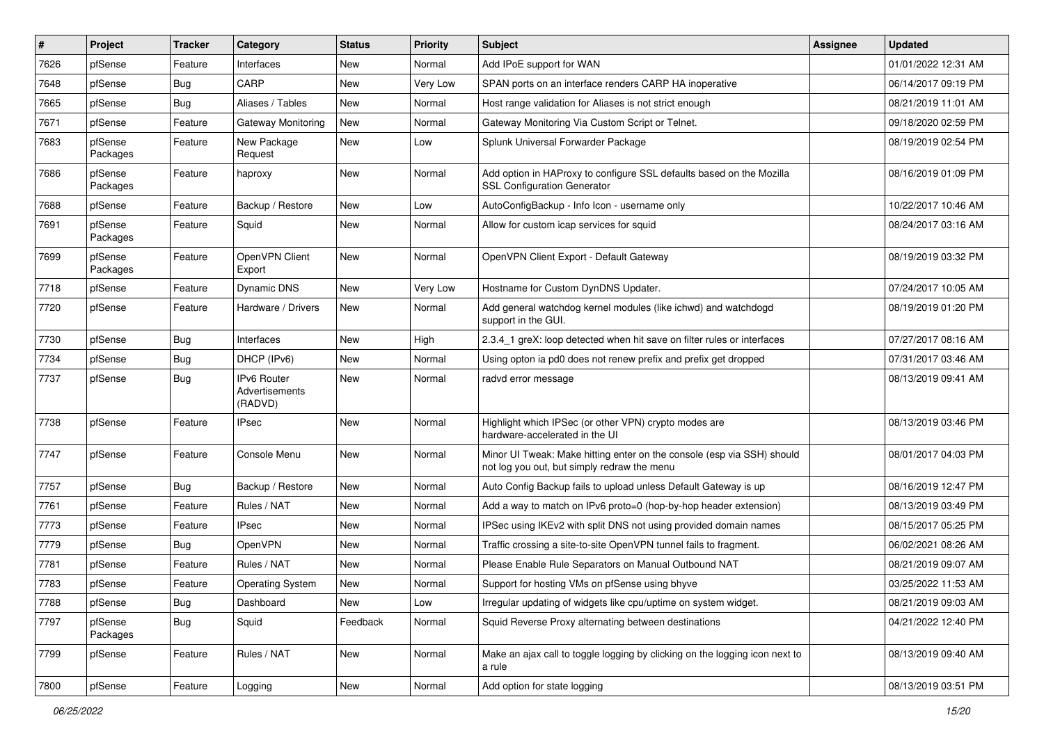| $\#$ | Project             | <b>Tracker</b> | Category                                 | <b>Status</b> | <b>Priority</b> | <b>Subject</b>                                                                                                        | <b>Assignee</b> | <b>Updated</b>      |
|------|---------------------|----------------|------------------------------------------|---------------|-----------------|-----------------------------------------------------------------------------------------------------------------------|-----------------|---------------------|
| 7626 | pfSense             | Feature        | Interfaces                               | New           | Normal          | Add IPoE support for WAN                                                                                              |                 | 01/01/2022 12:31 AM |
| 7648 | pfSense             | Bug            | CARP                                     | <b>New</b>    | Very Low        | SPAN ports on an interface renders CARP HA inoperative                                                                |                 | 06/14/2017 09:19 PM |
| 7665 | pfSense             | <b>Bug</b>     | Aliases / Tables                         | New           | Normal          | Host range validation for Aliases is not strict enough                                                                |                 | 08/21/2019 11:01 AM |
| 7671 | pfSense             | Feature        | Gateway Monitoring                       | New           | Normal          | Gateway Monitoring Via Custom Script or Telnet.                                                                       |                 | 09/18/2020 02:59 PM |
| 7683 | pfSense<br>Packages | Feature        | New Package<br>Request                   | New           | Low             | Splunk Universal Forwarder Package                                                                                    |                 | 08/19/2019 02:54 PM |
| 7686 | pfSense<br>Packages | Feature        | haproxy                                  | New           | Normal          | Add option in HAProxy to configure SSL defaults based on the Mozilla<br><b>SSL Configuration Generator</b>            |                 | 08/16/2019 01:09 PM |
| 7688 | pfSense             | Feature        | Backup / Restore                         | New           | Low             | AutoConfigBackup - Info Icon - username only                                                                          |                 | 10/22/2017 10:46 AM |
| 7691 | pfSense<br>Packages | Feature        | Squid                                    | New           | Normal          | Allow for custom icap services for squid                                                                              |                 | 08/24/2017 03:16 AM |
| 7699 | pfSense<br>Packages | Feature        | OpenVPN Client<br>Export                 | <b>New</b>    | Normal          | OpenVPN Client Export - Default Gateway                                                                               |                 | 08/19/2019 03:32 PM |
| 7718 | pfSense             | Feature        | Dynamic DNS                              | New           | Very Low        | Hostname for Custom DynDNS Updater.                                                                                   |                 | 07/24/2017 10:05 AM |
| 7720 | pfSense             | Feature        | Hardware / Drivers                       | New           | Normal          | Add general watchdog kernel modules (like ichwd) and watchdogd<br>support in the GUI.                                 |                 | 08/19/2019 01:20 PM |
| 7730 | pfSense             | Bug            | Interfaces                               | New           | High            | 2.3.4_1 greX: loop detected when hit save on filter rules or interfaces                                               |                 | 07/27/2017 08:16 AM |
| 7734 | pfSense             | <b>Bug</b>     | DHCP (IPv6)                              | New           | Normal          | Using opton ia pd0 does not renew prefix and prefix get dropped                                                       |                 | 07/31/2017 03:46 AM |
| 7737 | pfSense             | <b>Bug</b>     | IPv6 Router<br>Advertisements<br>(RADVD) | New           | Normal          | radvd error message                                                                                                   |                 | 08/13/2019 09:41 AM |
| 7738 | pfSense             | Feature        | <b>IPsec</b>                             | New           | Normal          | Highlight which IPSec (or other VPN) crypto modes are<br>hardware-accelerated in the UI                               |                 | 08/13/2019 03:46 PM |
| 7747 | pfSense             | Feature        | Console Menu                             | New           | Normal          | Minor UI Tweak: Make hitting enter on the console (esp via SSH) should<br>not log you out, but simply redraw the menu |                 | 08/01/2017 04:03 PM |
| 7757 | pfSense             | Bug            | Backup / Restore                         | New           | Normal          | Auto Config Backup fails to upload unless Default Gateway is up                                                       |                 | 08/16/2019 12:47 PM |
| 7761 | pfSense             | Feature        | Rules / NAT                              | New           | Normal          | Add a way to match on IPv6 proto=0 (hop-by-hop header extension)                                                      |                 | 08/13/2019 03:49 PM |
| 7773 | pfSense             | Feature        | <b>IPsec</b>                             | New           | Normal          | IPSec using IKEv2 with split DNS not using provided domain names                                                      |                 | 08/15/2017 05:25 PM |
| 7779 | pfSense             | <b>Bug</b>     | OpenVPN                                  | New           | Normal          | Traffic crossing a site-to-site OpenVPN tunnel fails to fragment.                                                     |                 | 06/02/2021 08:26 AM |
| 7781 | pfSense             | Feature        | Rules / NAT                              | New           | Normal          | Please Enable Rule Separators on Manual Outbound NAT                                                                  |                 | 08/21/2019 09:07 AM |
| 7783 | pfSense             | Feature        | <b>Operating System</b>                  | <b>New</b>    | Normal          | Support for hosting VMs on pfSense using bhyve                                                                        |                 | 03/25/2022 11:53 AM |
| 7788 | pfSense             | <b>Bug</b>     | Dashboard                                | New           | Low             | Irregular updating of widgets like cpu/uptime on system widget.                                                       |                 | 08/21/2019 09:03 AM |
| 7797 | pfSense<br>Packages | <b>Bug</b>     | Squid                                    | Feedback      | Normal          | Squid Reverse Proxy alternating between destinations                                                                  |                 | 04/21/2022 12:40 PM |
| 7799 | pfSense             | Feature        | Rules / NAT                              | New           | Normal          | Make an ajax call to toggle logging by clicking on the logging icon next to<br>a rule                                 |                 | 08/13/2019 09:40 AM |
| 7800 | pfSense             | Feature        | Logging                                  | New           | Normal          | Add option for state logging                                                                                          |                 | 08/13/2019 03:51 PM |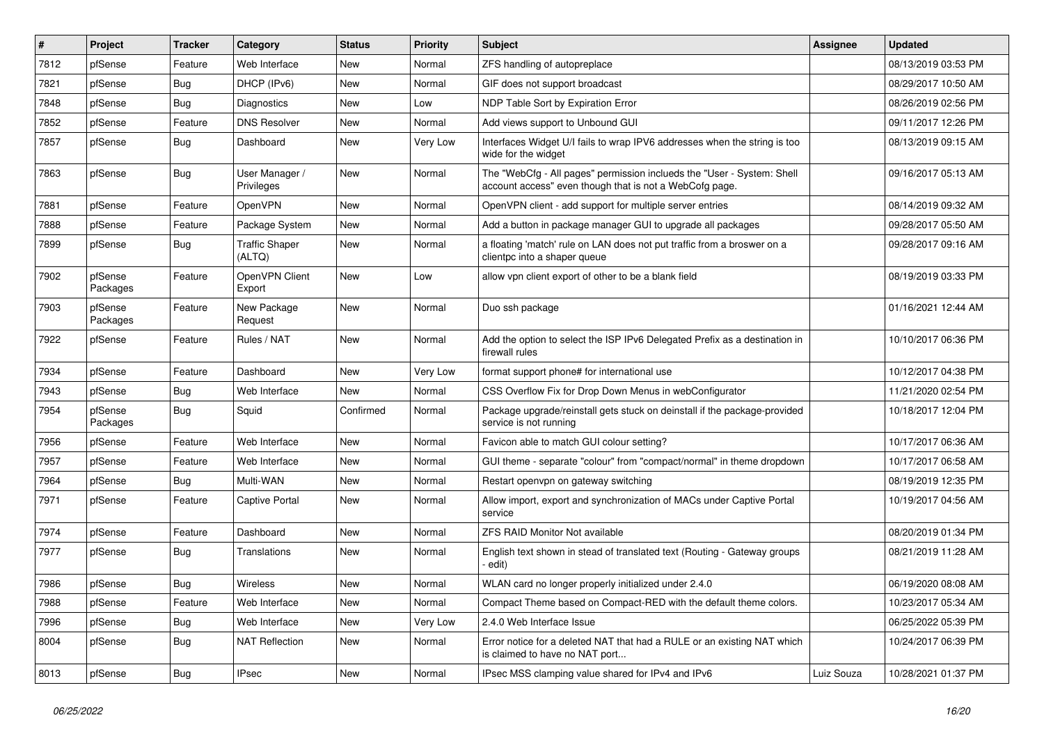| $\sharp$ | Project             | <b>Tracker</b> | Category                        | <b>Status</b> | Priority | Subject                                                                                                                           | Assignee   | <b>Updated</b>      |
|----------|---------------------|----------------|---------------------------------|---------------|----------|-----------------------------------------------------------------------------------------------------------------------------------|------------|---------------------|
| 7812     | pfSense             | Feature        | Web Interface                   | New           | Normal   | ZFS handling of autopreplace                                                                                                      |            | 08/13/2019 03:53 PM |
| 7821     | pfSense             | Bug            | DHCP (IPv6)                     | New           | Normal   | GIF does not support broadcast                                                                                                    |            | 08/29/2017 10:50 AM |
| 7848     | pfSense             | <b>Bug</b>     | <b>Diagnostics</b>              | New           | Low      | NDP Table Sort by Expiration Error                                                                                                |            | 08/26/2019 02:56 PM |
| 7852     | pfSense             | Feature        | <b>DNS Resolver</b>             | New           | Normal   | Add views support to Unbound GUI                                                                                                  |            | 09/11/2017 12:26 PM |
| 7857     | pfSense             | Bug            | Dashboard                       | New           | Very Low | Interfaces Widget U/I fails to wrap IPV6 addresses when the string is too<br>wide for the widget                                  |            | 08/13/2019 09:15 AM |
| 7863     | pfSense             | <b>Bug</b>     | User Manager /<br>Privileges    | <b>New</b>    | Normal   | The "WebCfg - All pages" permission inclueds the "User - System: Shell<br>account access" even though that is not a WebCofg page. |            | 09/16/2017 05:13 AM |
| 7881     | pfSense             | Feature        | OpenVPN                         | New           | Normal   | OpenVPN client - add support for multiple server entries                                                                          |            | 08/14/2019 09:32 AM |
| 7888     | pfSense             | Feature        | Package System                  | New           | Normal   | Add a button in package manager GUI to upgrade all packages                                                                       |            | 09/28/2017 05:50 AM |
| 7899     | pfSense             | Bug            | <b>Traffic Shaper</b><br>(ALTQ) | New           | Normal   | a floating 'match' rule on LAN does not put traffic from a broswer on a<br>clientpc into a shaper queue                           |            | 09/28/2017 09:16 AM |
| 7902     | pfSense<br>Packages | Feature        | OpenVPN Client<br>Export        | New           | Low      | allow vpn client export of other to be a blank field                                                                              |            | 08/19/2019 03:33 PM |
| 7903     | pfSense<br>Packages | Feature        | New Package<br>Request          | New           | Normal   | Duo ssh package                                                                                                                   |            | 01/16/2021 12:44 AM |
| 7922     | pfSense             | Feature        | Rules / NAT                     | New           | Normal   | Add the option to select the ISP IPv6 Delegated Prefix as a destination in<br>firewall rules                                      |            | 10/10/2017 06:36 PM |
| 7934     | pfSense             | Feature        | Dashboard                       | New           | Very Low | format support phone# for international use                                                                                       |            | 10/12/2017 04:38 PM |
| 7943     | pfSense             | <b>Bug</b>     | Web Interface                   | <b>New</b>    | Normal   | CSS Overflow Fix for Drop Down Menus in webConfigurator                                                                           |            | 11/21/2020 02:54 PM |
| 7954     | pfSense<br>Packages | <b>Bug</b>     | Squid                           | Confirmed     | Normal   | Package upgrade/reinstall gets stuck on deinstall if the package-provided<br>service is not running                               |            | 10/18/2017 12:04 PM |
| 7956     | pfSense             | Feature        | Web Interface                   | New           | Normal   | Favicon able to match GUI colour setting?                                                                                         |            | 10/17/2017 06:36 AM |
| 7957     | pfSense             | Feature        | Web Interface                   | New           | Normal   | GUI theme - separate "colour" from "compact/normal" in theme dropdown                                                             |            | 10/17/2017 06:58 AM |
| 7964     | pfSense             | <b>Bug</b>     | Multi-WAN                       | New           | Normal   | Restart openvpn on gateway switching                                                                                              |            | 08/19/2019 12:35 PM |
| 7971     | pfSense             | Feature        | Captive Portal                  | New           | Normal   | Allow import, export and synchronization of MACs under Captive Portal<br>service                                                  |            | 10/19/2017 04:56 AM |
| 7974     | pfSense             | Feature        | Dashboard                       | <b>New</b>    | Normal   | <b>ZFS RAID Monitor Not available</b>                                                                                             |            | 08/20/2019 01:34 PM |
| 7977     | pfSense             | <b>Bug</b>     | Translations                    | New           | Normal   | English text shown in stead of translated text (Routing - Gateway groups<br>edit)                                                 |            | 08/21/2019 11:28 AM |
| 7986     | pfSense             | Bug            | Wireless                        | New           | Normal   | WLAN card no longer properly initialized under 2.4.0                                                                              |            | 06/19/2020 08:08 AM |
| 7988     | pfSense             | Feature        | Web Interface                   | New           | Normal   | Compact Theme based on Compact-RED with the default theme colors.                                                                 |            | 10/23/2017 05:34 AM |
| 7996     | pfSense             | Bug            | Web Interface                   | New           | Very Low | 2.4.0 Web Interface Issue                                                                                                         |            | 06/25/2022 05:39 PM |
| 8004     | pfSense             | <b>Bug</b>     | <b>NAT Reflection</b>           | New           | Normal   | Error notice for a deleted NAT that had a RULE or an existing NAT which<br>is claimed to have no NAT port                         |            | 10/24/2017 06:39 PM |
| 8013     | pfSense             | Bug            | <b>IPsec</b>                    | New           | Normal   | IPsec MSS clamping value shared for IPv4 and IPv6                                                                                 | Luiz Souza | 10/28/2021 01:37 PM |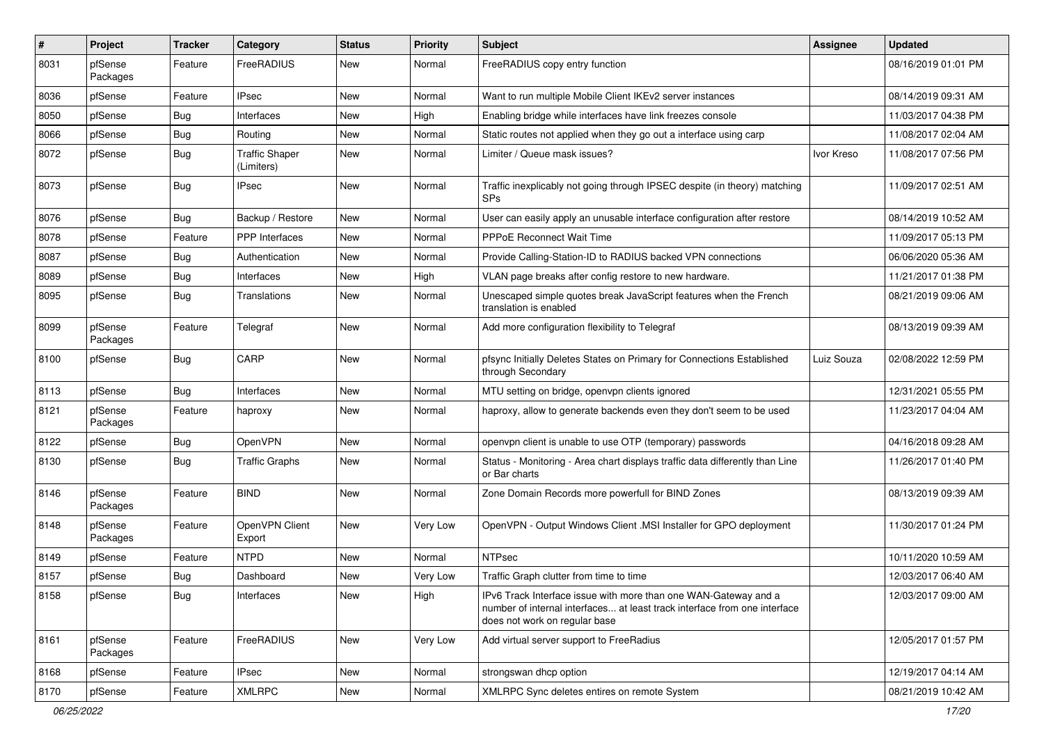| $\#$ | Project             | <b>Tracker</b> | Category                            | <b>Status</b> | <b>Priority</b> | Subject                                                                                                                                                                       | Assignee   | <b>Updated</b>      |
|------|---------------------|----------------|-------------------------------------|---------------|-----------------|-------------------------------------------------------------------------------------------------------------------------------------------------------------------------------|------------|---------------------|
| 8031 | pfSense<br>Packages | Feature        | FreeRADIUS                          | New           | Normal          | FreeRADIUS copy entry function                                                                                                                                                |            | 08/16/2019 01:01 PM |
| 8036 | pfSense             | Feature        | <b>IPsec</b>                        | New           | Normal          | Want to run multiple Mobile Client IKEv2 server instances                                                                                                                     |            | 08/14/2019 09:31 AM |
| 8050 | pfSense             | Bug            | Interfaces                          | New           | High            | Enabling bridge while interfaces have link freezes console                                                                                                                    |            | 11/03/2017 04:38 PM |
| 8066 | pfSense             | Bug            | Routing                             | <b>New</b>    | Normal          | Static routes not applied when they go out a interface using carp                                                                                                             |            | 11/08/2017 02:04 AM |
| 8072 | pfSense             | <b>Bug</b>     | <b>Traffic Shaper</b><br>(Limiters) | New           | Normal          | Limiter / Queue mask issues?                                                                                                                                                  | Ivor Kreso | 11/08/2017 07:56 PM |
| 8073 | pfSense             | <b>Bug</b>     | <b>IPsec</b>                        | New           | Normal          | Traffic inexplicably not going through IPSEC despite (in theory) matching<br>SPs                                                                                              |            | 11/09/2017 02:51 AM |
| 8076 | pfSense             | <b>Bug</b>     | Backup / Restore                    | <b>New</b>    | Normal          | User can easily apply an unusable interface configuration after restore                                                                                                       |            | 08/14/2019 10:52 AM |
| 8078 | pfSense             | Feature        | PPP Interfaces                      | New           | Normal          | PPPoE Reconnect Wait Time                                                                                                                                                     |            | 11/09/2017 05:13 PM |
| 8087 | pfSense             | <b>Bug</b>     | Authentication                      | New           | Normal          | Provide Calling-Station-ID to RADIUS backed VPN connections                                                                                                                   |            | 06/06/2020 05:36 AM |
| 8089 | pfSense             | Bug            | Interfaces                          | <b>New</b>    | High            | VLAN page breaks after config restore to new hardware.                                                                                                                        |            | 11/21/2017 01:38 PM |
| 8095 | pfSense             | <b>Bug</b>     | Translations                        | New           | Normal          | Unescaped simple quotes break JavaScript features when the French<br>translation is enabled                                                                                   |            | 08/21/2019 09:06 AM |
| 8099 | pfSense<br>Packages | Feature        | Telegraf                            | New           | Normal          | Add more configuration flexibility to Telegraf                                                                                                                                |            | 08/13/2019 09:39 AM |
| 8100 | pfSense             | <b>Bug</b>     | CARP                                | New           | Normal          | pfsync Initially Deletes States on Primary for Connections Established<br>through Secondary                                                                                   | Luiz Souza | 02/08/2022 12:59 PM |
| 8113 | pfSense             | <b>Bug</b>     | Interfaces                          | <b>New</b>    | Normal          | MTU setting on bridge, openvpn clients ignored                                                                                                                                |            | 12/31/2021 05:55 PM |
| 8121 | pfSense<br>Packages | Feature        | haproxy                             | <b>New</b>    | Normal          | haproxy, allow to generate backends even they don't seem to be used                                                                                                           |            | 11/23/2017 04:04 AM |
| 8122 | pfSense             | <b>Bug</b>     | OpenVPN                             | <b>New</b>    | Normal          | openvpn client is unable to use OTP (temporary) passwords                                                                                                                     |            | 04/16/2018 09:28 AM |
| 8130 | pfSense             | <b>Bug</b>     | <b>Traffic Graphs</b>               | New           | Normal          | Status - Monitoring - Area chart displays traffic data differently than Line<br>or Bar charts                                                                                 |            | 11/26/2017 01:40 PM |
| 8146 | pfSense<br>Packages | Feature        | <b>BIND</b>                         | <b>New</b>    | Normal          | Zone Domain Records more powerfull for BIND Zones                                                                                                                             |            | 08/13/2019 09:39 AM |
| 8148 | pfSense<br>Packages | Feature        | OpenVPN Client<br>Export            | <b>New</b>    | Very Low        | OpenVPN - Output Windows Client .MSI Installer for GPO deployment                                                                                                             |            | 11/30/2017 01:24 PM |
| 8149 | pfSense             | Feature        | <b>NTPD</b>                         | New           | Normal          | <b>NTPsec</b>                                                                                                                                                                 |            | 10/11/2020 10:59 AM |
| 8157 | pfSense             | <b>Bug</b>     | Dashboard                           | <b>New</b>    | Very Low        | Traffic Graph clutter from time to time                                                                                                                                       |            | 12/03/2017 06:40 AM |
| 8158 | pfSense             | Bug            | Interfaces                          | New           | High            | IPv6 Track Interface issue with more than one WAN-Gateway and a<br>number of internal interfaces at least track interface from one interface<br>does not work on regular base |            | 12/03/2017 09:00 AM |
| 8161 | pfSense<br>Packages | Feature        | FreeRADIUS                          | New           | Very Low        | Add virtual server support to FreeRadius                                                                                                                                      |            | 12/05/2017 01:57 PM |
| 8168 | pfSense             | Feature        | <b>IPsec</b>                        | New           | Normal          | strongswan dhcp option                                                                                                                                                        |            | 12/19/2017 04:14 AM |
| 8170 | pfSense             | Feature        | <b>XMLRPC</b>                       | New           | Normal          | XMLRPC Sync deletes entires on remote System                                                                                                                                  |            | 08/21/2019 10:42 AM |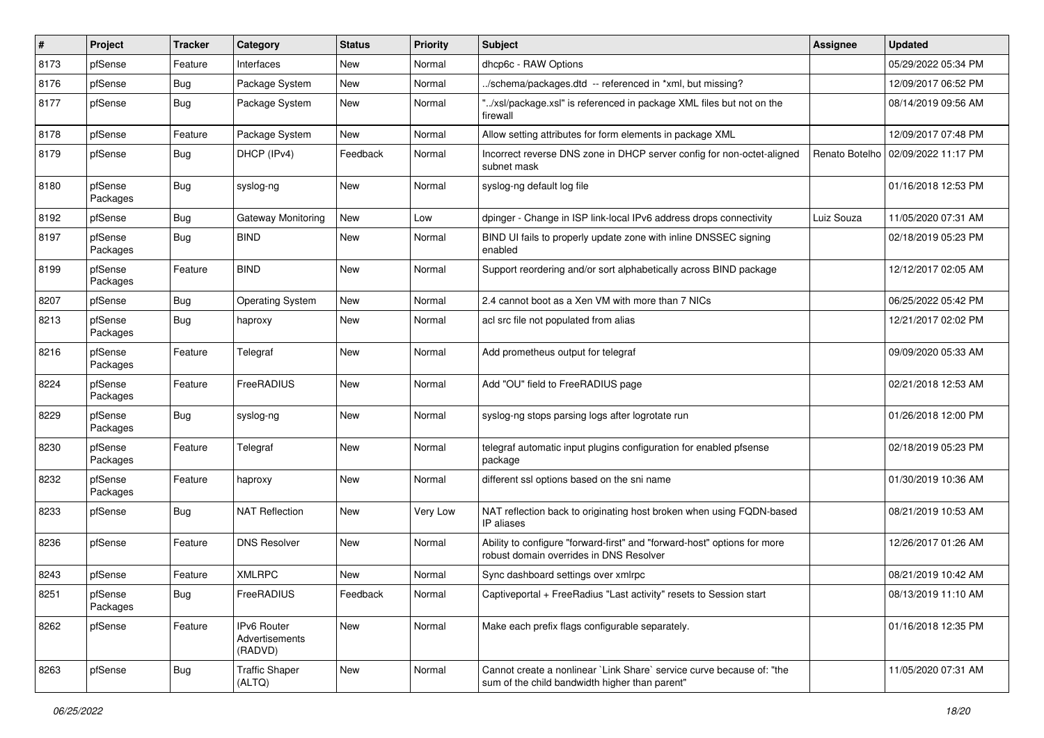| $\#$ | Project             | <b>Tracker</b> | Category                                 | <b>Status</b> | <b>Priority</b> | Subject                                                                                                                 | <b>Assignee</b> | <b>Updated</b>      |
|------|---------------------|----------------|------------------------------------------|---------------|-----------------|-------------------------------------------------------------------------------------------------------------------------|-----------------|---------------------|
| 8173 | pfSense             | Feature        | Interfaces                               | New           | Normal          | dhcp6c - RAW Options                                                                                                    |                 | 05/29/2022 05:34 PM |
| 8176 | pfSense             | Bug            | Package System                           | <b>New</b>    | Normal          | ./schema/packages.dtd -- referenced in *xml, but missing?                                                               |                 | 12/09/2017 06:52 PM |
| 8177 | pfSense             | <b>Bug</b>     | Package System                           | New           | Normal          | "/xsl/package.xsl" is referenced in package XML files but not on the<br>firewall                                        |                 | 08/14/2019 09:56 AM |
| 8178 | pfSense             | Feature        | Package System                           | New           | Normal          | Allow setting attributes for form elements in package XML                                                               |                 | 12/09/2017 07:48 PM |
| 8179 | pfSense             | <b>Bug</b>     | DHCP (IPv4)                              | Feedback      | Normal          | Incorrect reverse DNS zone in DHCP server config for non-octet-aligned<br>subnet mask                                   | Renato Botelho  | 02/09/2022 11:17 PM |
| 8180 | pfSense<br>Packages | <b>Bug</b>     | syslog-ng                                | <b>New</b>    | Normal          | syslog-ng default log file                                                                                              |                 | 01/16/2018 12:53 PM |
| 8192 | pfSense             | <b>Bug</b>     | Gateway Monitoring                       | <b>New</b>    | Low             | dpinger - Change in ISP link-local IPv6 address drops connectivity                                                      | Luiz Souza      | 11/05/2020 07:31 AM |
| 8197 | pfSense<br>Packages | <b>Bug</b>     | <b>BIND</b>                              | New           | Normal          | BIND UI fails to properly update zone with inline DNSSEC signing<br>enabled                                             |                 | 02/18/2019 05:23 PM |
| 8199 | pfSense<br>Packages | Feature        | <b>BIND</b>                              | New           | Normal          | Support reordering and/or sort alphabetically across BIND package                                                       |                 | 12/12/2017 02:05 AM |
| 8207 | pfSense             | <b>Bug</b>     | <b>Operating System</b>                  | <b>New</b>    | Normal          | 2.4 cannot boot as a Xen VM with more than 7 NICs                                                                       |                 | 06/25/2022 05:42 PM |
| 8213 | pfSense<br>Packages | <b>Bug</b>     | haproxy                                  | <b>New</b>    | Normal          | acl src file not populated from alias                                                                                   |                 | 12/21/2017 02:02 PM |
| 8216 | pfSense<br>Packages | Feature        | Telegraf                                 | New           | Normal          | Add prometheus output for telegraf                                                                                      |                 | 09/09/2020 05:33 AM |
| 8224 | pfSense<br>Packages | Feature        | FreeRADIUS                               | New           | Normal          | Add "OU" field to FreeRADIUS page                                                                                       |                 | 02/21/2018 12:53 AM |
| 8229 | pfSense<br>Packages | <b>Bug</b>     | syslog-ng                                | <b>New</b>    | Normal          | syslog-ng stops parsing logs after logrotate run                                                                        |                 | 01/26/2018 12:00 PM |
| 8230 | pfSense<br>Packages | Feature        | Telegraf                                 | New           | Normal          | telegraf automatic input plugins configuration for enabled pfsense<br>package                                           |                 | 02/18/2019 05:23 PM |
| 8232 | pfSense<br>Packages | Feature        | haproxy                                  | <b>New</b>    | Normal          | different ssl options based on the sni name                                                                             |                 | 01/30/2019 10:36 AM |
| 8233 | pfSense             | <b>Bug</b>     | <b>NAT Reflection</b>                    | <b>New</b>    | Very Low        | NAT reflection back to originating host broken when using FQDN-based<br>IP aliases                                      |                 | 08/21/2019 10:53 AM |
| 8236 | pfSense             | Feature        | <b>DNS Resolver</b>                      | <b>New</b>    | Normal          | Ability to configure "forward-first" and "forward-host" options for more<br>robust domain overrides in DNS Resolver     |                 | 12/26/2017 01:26 AM |
| 8243 | pfSense             | Feature        | <b>XMLRPC</b>                            | <b>New</b>    | Normal          | Sync dashboard settings over xmlrpc                                                                                     |                 | 08/21/2019 10:42 AM |
| 8251 | pfSense<br>Packages | Bug            | FreeRADIUS                               | Feedback      | Normal          | Captiveportal + FreeRadius "Last activity" resets to Session start                                                      |                 | 08/13/2019 11:10 AM |
| 8262 | pfSense             | Feature        | IPv6 Router<br>Advertisements<br>(RADVD) | New           | Normal          | Make each prefix flags configurable separately.                                                                         |                 | 01/16/2018 12:35 PM |
| 8263 | pfSense             | <b>Bug</b>     | <b>Traffic Shaper</b><br>(ALTQ)          | New           | Normal          | Cannot create a nonlinear `Link Share` service curve because of: "the<br>sum of the child bandwidth higher than parent" |                 | 11/05/2020 07:31 AM |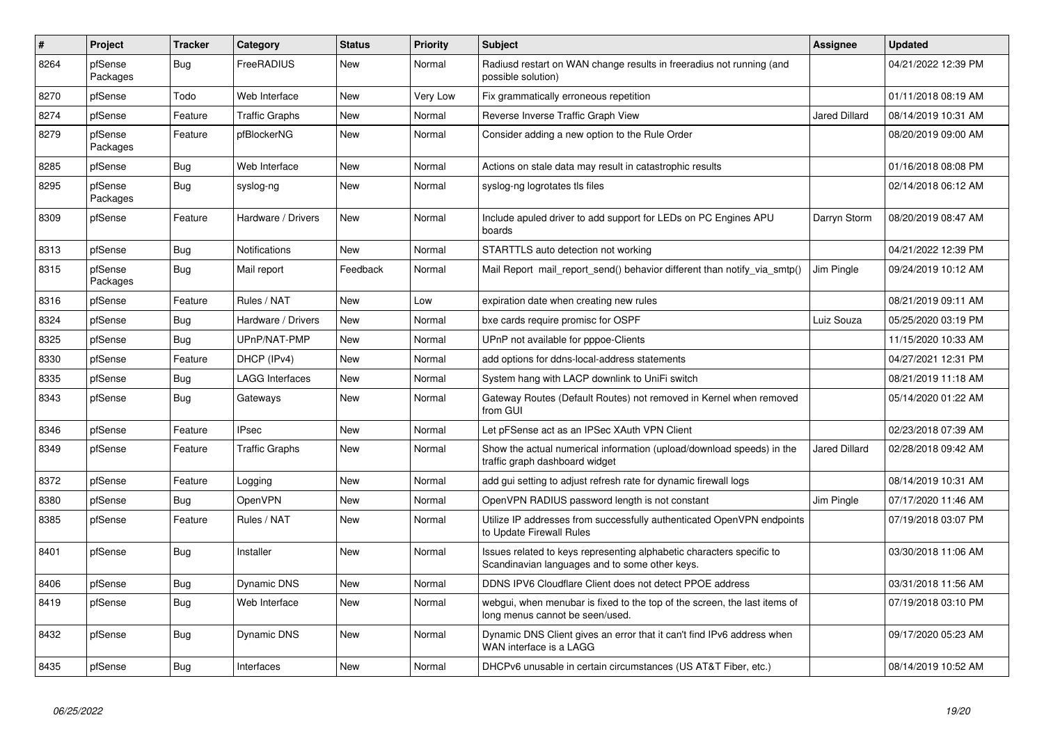| $\#$ | Project             | <b>Tracker</b> | Category              | <b>Status</b> | <b>Priority</b> | <b>Subject</b>                                                                                                          | <b>Assignee</b>      | <b>Updated</b>      |
|------|---------------------|----------------|-----------------------|---------------|-----------------|-------------------------------------------------------------------------------------------------------------------------|----------------------|---------------------|
| 8264 | pfSense<br>Packages | Bug            | FreeRADIUS            | New           | Normal          | Radiusd restart on WAN change results in freeradius not running (and<br>possible solution)                              |                      | 04/21/2022 12:39 PM |
| 8270 | pfSense             | Todo           | Web Interface         | New           | Very Low        | Fix grammatically erroneous repetition                                                                                  |                      | 01/11/2018 08:19 AM |
| 8274 | pfSense             | Feature        | <b>Traffic Graphs</b> | New           | Normal          | Reverse Inverse Traffic Graph View                                                                                      | Jared Dillard        | 08/14/2019 10:31 AM |
| 8279 | pfSense<br>Packages | Feature        | pfBlockerNG           | New           | Normal          | Consider adding a new option to the Rule Order                                                                          |                      | 08/20/2019 09:00 AM |
| 8285 | pfSense             | Bug            | Web Interface         | New           | Normal          | Actions on stale data may result in catastrophic results                                                                |                      | 01/16/2018 08:08 PM |
| 8295 | pfSense<br>Packages | Bug            | syslog-ng             | New           | Normal          | syslog-ng logrotates tls files                                                                                          |                      | 02/14/2018 06:12 AM |
| 8309 | pfSense             | Feature        | Hardware / Drivers    | New           | Normal          | Include apuled driver to add support for LEDs on PC Engines APU<br>boards                                               | Darryn Storm         | 08/20/2019 08:47 AM |
| 8313 | pfSense             | Bug            | <b>Notifications</b>  | <b>New</b>    | Normal          | STARTTLS auto detection not working                                                                                     |                      | 04/21/2022 12:39 PM |
| 8315 | pfSense<br>Packages | Bug            | Mail report           | Feedback      | Normal          | Mail Report mail_report_send() behavior different than notify_via_smtp()                                                | Jim Pingle           | 09/24/2019 10:12 AM |
| 8316 | pfSense             | Feature        | Rules / NAT           | <b>New</b>    | Low             | expiration date when creating new rules                                                                                 |                      | 08/21/2019 09:11 AM |
| 8324 | pfSense             | Bug            | Hardware / Drivers    | New           | Normal          | bxe cards require promisc for OSPF                                                                                      | Luiz Souza           | 05/25/2020 03:19 PM |
| 8325 | pfSense             | Bug            | UPnP/NAT-PMP          | New           | Normal          | UPnP not available for pppoe-Clients                                                                                    |                      | 11/15/2020 10:33 AM |
| 8330 | pfSense             | Feature        | DHCP (IPv4)           | <b>New</b>    | Normal          | add options for ddns-local-address statements                                                                           |                      | 04/27/2021 12:31 PM |
| 8335 | pfSense             | Bug            | LAGG Interfaces       | New           | Normal          | System hang with LACP downlink to UniFi switch                                                                          |                      | 08/21/2019 11:18 AM |
| 8343 | pfSense             | Bug            | Gateways              | New           | Normal          | Gateway Routes (Default Routes) not removed in Kernel when removed<br>from GUI                                          |                      | 05/14/2020 01:22 AM |
| 8346 | pfSense             | Feature        | <b>IPsec</b>          | <b>New</b>    | Normal          | Let pFSense act as an IPSec XAuth VPN Client                                                                            |                      | 02/23/2018 07:39 AM |
| 8349 | pfSense             | Feature        | Traffic Graphs        | New           | Normal          | Show the actual numerical information (upload/download speeds) in the<br>traffic graph dashboard widget                 | <b>Jared Dillard</b> | 02/28/2018 09:42 AM |
| 8372 | pfSense             | Feature        | Logging               | <b>New</b>    | Normal          | add gui setting to adjust refresh rate for dynamic firewall logs                                                        |                      | 08/14/2019 10:31 AM |
| 8380 | pfSense             | Bug            | <b>OpenVPN</b>        | New           | Normal          | OpenVPN RADIUS password length is not constant                                                                          | Jim Pingle           | 07/17/2020 11:46 AM |
| 8385 | pfSense             | Feature        | Rules / NAT           | New           | Normal          | Utilize IP addresses from successfully authenticated OpenVPN endpoints<br>to Update Firewall Rules                      |                      | 07/19/2018 03:07 PM |
| 8401 | pfSense             | Bug            | Installer             | <b>New</b>    | Normal          | Issues related to keys representing alphabetic characters specific to<br>Scandinavian languages and to some other keys. |                      | 03/30/2018 11:06 AM |
| 8406 | pfSense             | Bug            | Dynamic DNS           | New           | Normal          | DDNS IPV6 Cloudflare Client does not detect PPOE address                                                                |                      | 03/31/2018 11:56 AM |
| 8419 | pfSense             | <b>Bug</b>     | Web Interface         | <b>New</b>    | Normal          | webgui, when menubar is fixed to the top of the screen, the last items of<br>long menus cannot be seen/used.            |                      | 07/19/2018 03:10 PM |
| 8432 | pfSense             | <b>Bug</b>     | <b>Dynamic DNS</b>    | <b>New</b>    | Normal          | Dynamic DNS Client gives an error that it can't find IPv6 address when<br>WAN interface is a LAGG                       |                      | 09/17/2020 05:23 AM |
| 8435 | pfSense             | <b>Bug</b>     | Interfaces            | <b>New</b>    | Normal          | DHCPv6 unusable in certain circumstances (US AT&T Fiber, etc.)                                                          |                      | 08/14/2019 10:52 AM |